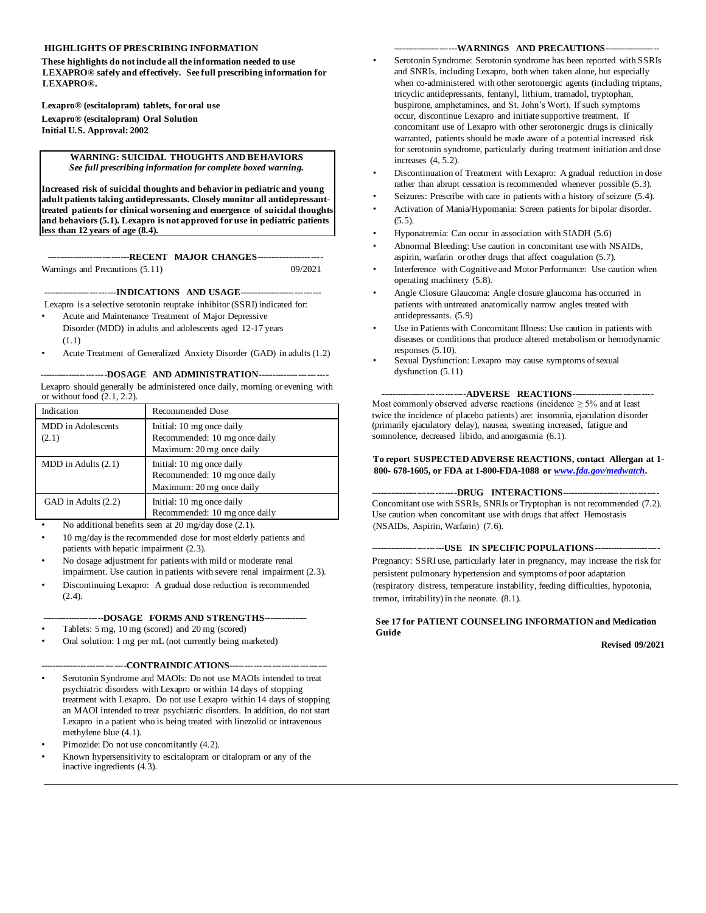## **HIGHLIGHTS OF PRESCRIBING INFORMATION**

**These highlights do not include all the information needed to use LEXAPRO® safely and effectively. See full prescribing information for LEXAPRO®.** 

**Lexapro® (escitalopram) tablets, for oral use Lexapro® (escitalopram) Oral Solution Initial U.S. Approval: 2002** 

#### **WARNING: SUICIDAL THOUGHTS AND BEHAVIORS** *See full prescribing information for complete boxed warning.*

**Increased risk of suicidal thoughts and behavior in pediatric and young adult patients taking antidepressants. Closely monitor all antidepressanttreated patients for clinical worsening and emergence of suicidal thoughts and behaviors (5.1). Lexapro is not approved for use in pediatric patients less than 12 years of age (8.4).** 

**----------------------------RECENT MAJOR CHANGES-----------------------** Warnings and Precautions (5.11) 09/2021

**-------------------------INDICATIONS AND USAGE----------------------------** Lexapro is a selective serotonin reuptake inhibitor (SSRI) indicated for:

- Acute and Maintenance Treatment of Major Depressive Disorder (MDD) in adults and adolescents aged 12-17 years (1.1)
- Acute Treatment of Generalized Anxiety Disorder (GAD) in adults (1.2)

----DOSAGE AND ADMINISTRATION----Lexapro should generally be administered once daily, morning or evening with or without food  $(2.1, 2.2)$ .

| Indication                  | <b>Recommended Dose</b>                                                                 |
|-----------------------------|-----------------------------------------------------------------------------------------|
| MDD in Adolescents<br>(2.1) | Initial: 10 mg once daily<br>Recommended: 10 mg once daily<br>Maximum: 20 mg once daily |
| $MDD$ in Adults $(2.1)$     | Initial: 10 mg once daily<br>Recommended: 10 mg once daily<br>Maximum: 20 mg once daily |
| GAD in Adults (2.2)         | Initial: 10 mg once daily<br>Recommended: 10 mg once daily                              |

No additional benefits seen at 20 mg/day dose (2.1).

- 10 mg/day is the recommended dose for most elderly patients and patients with hepatic impairment (2.3).
- No dosage adjustment for patients with mild or moderate renal impairment. Use caution in patients with severe renal impairment (2.3).
- Discontinuing Lexapro: A gradual dose reduction is recommended  $(2.4)$ .

# **---------------------DOSAGE FORMS AND STRENGTHS---------------**

- Tablets: 5 mg, 10 mg (scored) and 20 mg (scored)
- Oral solution: 1 mg per mL (not currently being marketed)

#### **-----------------------------CONTRAINDICATIONS--------------------------------**

- Serotonin Syndrome and MAOIs: Do not use MAOIs intended to treat psychiatric disorders with Lexapro or within 14 days of stopping treatment with Lexapro. Do not use Lexapro within 14 days of stopping an MAOI intended to treat psychiatric disorders. In addition, do not start Lexapro in a patient who is being treated with linezolid or intravenous methylene blue (4.1).
- Pimozide: Do not use concomitantly  $(4.2)$ .
- Known hypersensitivity to escitalopram or citalopram or any of the inactive ingredients (4.3).

### ----WARNINGS AND PRECAUTIONS--

- Serotonin Syndrome: Serotonin syndrome has been reported with SSRIs and SNRIs, including Lexapro, both when taken alone, but especially when co-administered with other serotonergic agents (including triptans, tricyclic antidepressants, fentanyl, lithium, tramadol, tryptophan, buspirone, amphetamines, and St. John's Wort). If such symptoms occur, discontinue Lexapro and initiate supportive treatment. If concomitant use of Lexapro with other serotonergic drugs is clinically warranted, patients should be made aware of a potential increased risk for serotonin syndrome, particularly during treatment initiation and dose increases (4, 5.2).
- Discontinuation of Treatment with Lexapro: A gradual reduction in dose rather than abrupt cessation is recommended whenever possible (5.3).
- Seizures: Prescribe with care in patients with a history of seizure (5.4).
- Activation of Mania/Hypomania: Screen patients for bipolar disorder.  $(5.5)$ .
- Hyponatremia: Can occur in association with SIADH (5.6)
- Abnormal Bleeding: Use caution in concomitant use with NSAIDs, aspirin, warfarin or other drugs that affect coagulation (5.7).
- Interference with Cognitive and Motor Performance: Use caution when operating machinery (5.8).
- Angle Closure Glaucoma: Angle closure glaucoma has occurred in patients with untreated anatomically narrow angles treated with antidepressants. (5.9)
- Use in Patients with Concomitant Illness: Use caution in patients with diseases or conditions that produce altered metabolism or hemodynamic responses (5.10).
- Sexual Dysfunction: Lexapro may cause symptoms of sexual dysfunction  $(5.11)$

**-----------------------------ADVERSE REACTIONS----------------------------** Most commonly observed adverse reactions (incidence  $\geq$  5% and at least twice the incidence of placebo patients) are: insomnia, ejaculation disorder (primarily ejaculatory delay), nausea, sweating increased, fatigue and somnolence, decreased libido, and anorgasmia (6.1).

### **To report SUSPECTED ADVERSE REACTIONS, contact Allergan at 1- 800- 678-1605, or FDA at 1-800-FDA-1088 or** *[www.fda.gov/medwatch.](http://www.fda.gov/medwatch)*

**-----------------------------DRUG INTERACTIONS---------------------------------** Concomitant use with SSRIs, SNRIs or Tryptophan is not recommended (7.2). Use caution when concomitant use with drugs that affect Hemostasis (NSAIDs, Aspirin, Warfarin) (7.6).

**-------------------------USE IN SPECIFIC POPULATIONS-----------------------** Pregnancy: SSRI use, particularly later in pregnancy, may increase the risk for persistent pulmonary hypertension and symptoms of poor adaptation (respiratory distress, temperature instability, feeding difficulties, hypotonia, tremor, irritability) in the neonate. (8.1).

# **See 17 for PATIENT COUNSELING INFORMATION and Medication Guide**

**Revised 09/2021**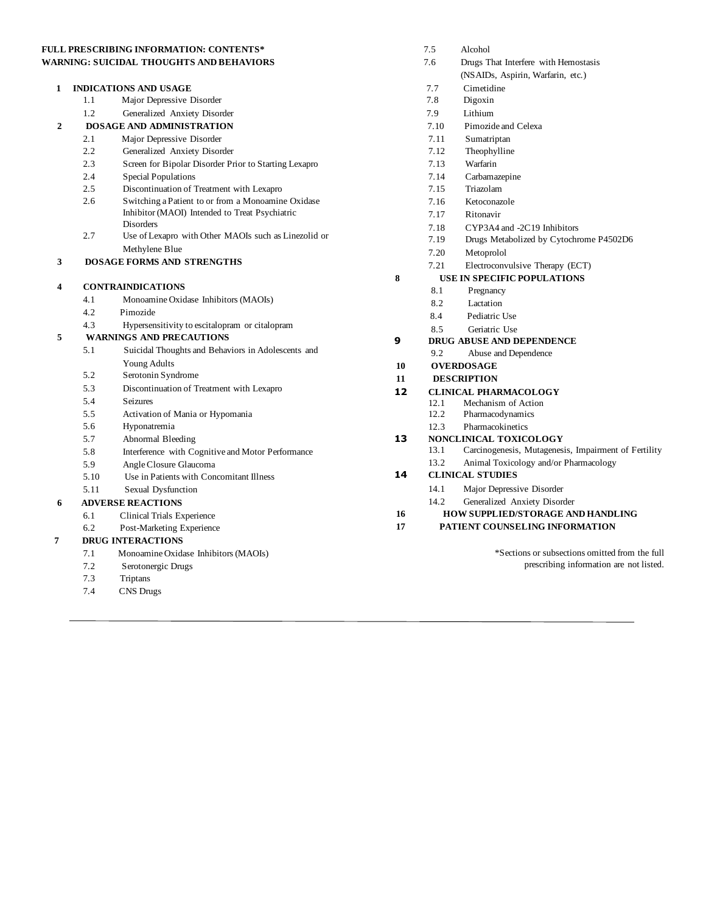# **FULL PRESCRIBING INFORMATION: CONTENTS\* WARNING: SUICIDAL THOUGHTS AND BEHAVIORS**

| 1                       |      | <b>INDICATIONS AND USAGE</b>                                                                                             |    |
|-------------------------|------|--------------------------------------------------------------------------------------------------------------------------|----|
|                         | 1.1  | Major Depressive Disorder                                                                                                |    |
|                         | 1.2  | Generalized Anxiety Disorder                                                                                             |    |
| $\mathbf{2}$            |      | <b>DOSAGE AND ADMINISTRATION</b>                                                                                         |    |
|                         | 2.1  | Major Depressive Disorder                                                                                                |    |
|                         | 2.2  | Generalized Anxiety Disorder                                                                                             |    |
|                         | 2.3  | Screen for Bipolar Disorder Prior to Starting Lexapro                                                                    |    |
|                         | 2.4  | Special Populations                                                                                                      |    |
|                         | 2.5  | Discontinuation of Treatment with Lexapro                                                                                |    |
|                         | 2.6  | Switching a Patient to or from a Monoamine Oxidase<br>Inhibitor (MAOI) Intended to Treat Psychiatric<br><b>Disorders</b> |    |
|                         | 2.7  | Use of Lexapro with Other MAOIs such as Linezolid or                                                                     |    |
|                         |      | Methylene Blue                                                                                                           |    |
| 3                       |      | <b>DOSAGE FORMS AND STRENGTHS</b>                                                                                        |    |
|                         |      |                                                                                                                          | 8  |
| $\overline{\mathbf{4}}$ |      | <b>CONTRAINDICATIONS</b>                                                                                                 |    |
|                         | 4.1  | Monoamine Oxidase Inhibitors (MAOIs)                                                                                     |    |
|                         | 4.2  | Pimozide                                                                                                                 |    |
|                         | 4.3  | Hypersensitivity to escital opram or cital opram                                                                         |    |
| 5                       |      | <b>WARNINGS AND PRECAUTIONS</b>                                                                                          | 9  |
|                         | 5.1  | Suicidal Thoughts and Behaviors in Adolescents and                                                                       |    |
|                         |      | <b>Young Adults</b>                                                                                                      | 10 |
|                         | 5.2  | Serotonin Syndrome                                                                                                       | 11 |
|                         | 5.3  | Discontinuation of Treatment with Lexapro                                                                                | 12 |
|                         | 5.4  | <b>Seizures</b>                                                                                                          |    |
|                         | 5.5  | Activation of Mania or Hypomania                                                                                         |    |
|                         | 5.6  | Hyponatremia                                                                                                             |    |
|                         | 5.7  | Abnormal Bleeding                                                                                                        | 13 |
|                         | 5.8  | Interference with Cognitive and Motor Performance                                                                        |    |
|                         | 5.9  | Angle Closure Glaucoma                                                                                                   |    |
|                         | 5.10 | Use in Patients with Concomitant Illness                                                                                 | 14 |
|                         | 5.11 | Sexual Dysfunction                                                                                                       |    |
| 6                       |      | <b>ADVERSE REACTIONS</b>                                                                                                 |    |
|                         | 6.1  | Clinical Trials Experience                                                                                               | 16 |
|                         | 6.2  | Post-Marketing Experience                                                                                                | 17 |
| 7                       |      | <b>DRUG INTERACTIONS</b>                                                                                                 |    |
|                         | 7.1  | Monoamine Oxidase Inhibitors (MAOIs)                                                                                     |    |
|                         | 7.2  | Serotonergic Drugs                                                                                                       |    |
|                         | 7.3  | Triptans                                                                                                                 |    |
|                         | 7.4  | <b>CNS</b> Drugs                                                                                                         |    |

|    | 7.5                                     | Alcohol                                              |  |  |  |  |
|----|-----------------------------------------|------------------------------------------------------|--|--|--|--|
|    | 7.6                                     | Drugs That Interfere with Hemostasis                 |  |  |  |  |
|    |                                         | (NSAIDs, Aspirin, Warfarin, etc.)                    |  |  |  |  |
|    | 7.7                                     | Cimetidine                                           |  |  |  |  |
|    | 7.8                                     | Digoxin                                              |  |  |  |  |
|    | 7.9                                     | Lithium                                              |  |  |  |  |
|    | 7.10                                    | Pimozide and Celexa                                  |  |  |  |  |
|    | 7.11                                    | Sumatriptan                                          |  |  |  |  |
|    | 7.12                                    | Theophylline                                         |  |  |  |  |
|    | 7.13                                    | Warfarin                                             |  |  |  |  |
|    | 7.14                                    | Carbamazepine                                        |  |  |  |  |
|    | 7.15                                    | Triazolam                                            |  |  |  |  |
|    | 7.16                                    | Ketoconazole                                         |  |  |  |  |
|    | 7.17                                    | Ritonavir                                            |  |  |  |  |
|    | 7.18                                    | CYP3A4 and -2C19 Inhibitors                          |  |  |  |  |
|    | 7.19                                    | Drugs Metabolized by Cytochrome P4502D6              |  |  |  |  |
|    | 7.20                                    | Metoprolol                                           |  |  |  |  |
|    | 7.21                                    | Electroconvulsive Therapy (ECT)                      |  |  |  |  |
| 8  | <b>USE IN SPECIFIC POPULATIONS</b>      |                                                      |  |  |  |  |
|    | 8.1                                     | Pregnancy                                            |  |  |  |  |
|    | 8.2                                     | Lactation                                            |  |  |  |  |
|    | 84                                      | Pediatric Use                                        |  |  |  |  |
|    | 8.5                                     | Geriatric Use                                        |  |  |  |  |
| 9  |                                         | DRUG ABUSE AND DEPENDENCE                            |  |  |  |  |
| 10 | 9.2                                     | Abuse and Dependence                                 |  |  |  |  |
| 11 | <b>OVERDOSAGE</b><br><b>DESCRIPTION</b> |                                                      |  |  |  |  |
| 12 |                                         | <b>CLINICAL PHARMACOLOGY</b>                         |  |  |  |  |
|    | 12.1                                    | Mechanism of Action                                  |  |  |  |  |
|    | 12.2                                    | Pharmacodynamics                                     |  |  |  |  |
|    | 12.3                                    | Pharmacokinetics                                     |  |  |  |  |
| 13 |                                         | NONCLINICAL TOXICOLOGY                               |  |  |  |  |
|    | 13.1                                    | Carcinogenesis, Mutagenesis, Impairment of Fertility |  |  |  |  |
|    | 13.2                                    | Animal Toxicology and/or Pharmacology                |  |  |  |  |
| 14 |                                         | <b>CLINICAL STUDIES</b>                              |  |  |  |  |
|    | 14.1                                    | Major Depressive Disorder                            |  |  |  |  |
|    | 14.2                                    | Generalized Anxiety Disorder                         |  |  |  |  |
| 16 |                                         | <b>HOW SUPPLIED/STORAGE AND HANDLING</b>             |  |  |  |  |
| 17 |                                         | PATIENT COUNSELING INFORMATION                       |  |  |  |  |
|    |                                         |                                                      |  |  |  |  |
|    |                                         | *Sections or subsections omitted from the full       |  |  |  |  |
|    |                                         | prescribing information are not listed.              |  |  |  |  |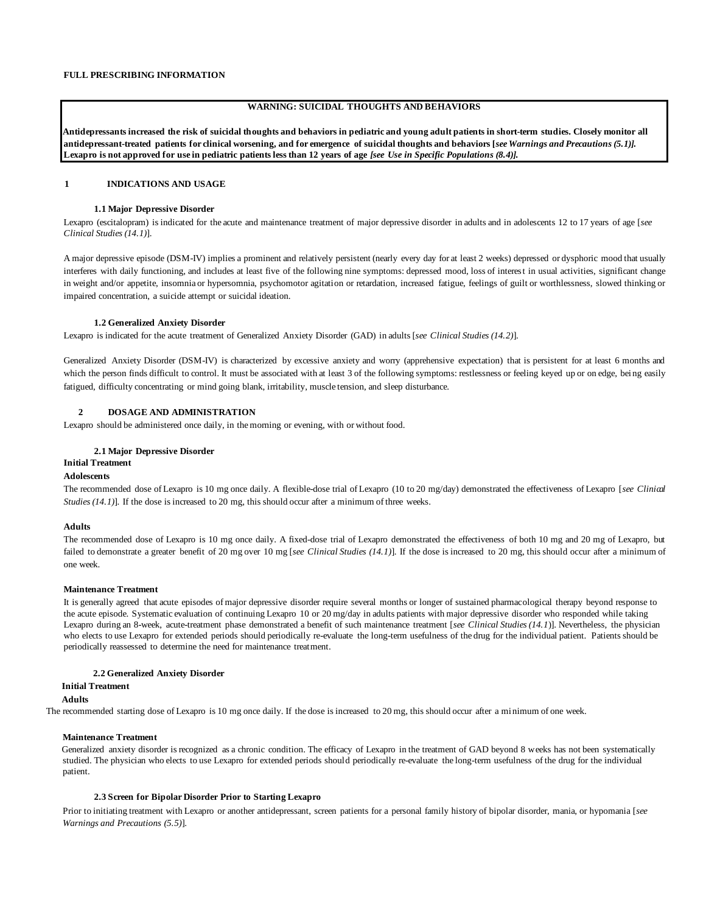# **WARNING: SUICIDAL THOUGHTS AND BEHAVIORS**

**Antidepressants increased the risk of suicidal thoughts and behaviors in pediatric and young adult patients in short-term studies. Closely monitor all antidepressant-treated patients for clinical worsening, and for emergence of suicidal thoughts and behaviors [***see Warnings and Precautions (5.1)].* **Lexapro is not approved for use in pediatric patients less than 12 years of age** *[see Use in Specific Populations (8.4)].*

# **1 INDICATIONS AND USAGE**

#### **1.1 Major Depressive Disorder**

Lexapro (escitalopram) is indicated for the acute and maintenance treatment of major depressive disorder in adults and in adolescents 12 to 17 years of age [*see Clinical Studies (14.1)*].

A major depressive episode (DSM-IV) implies a prominent and relatively persistent (nearly every day for at least 2 weeks) depressed or dysphoric mood that usually interferes with daily functioning, and includes at least five of the following nine symptoms: depressed mood, loss of interest in usual activities, significant change in weight and/or appetite, insomnia or hypersomnia, psychomotor agitation or retardation, increased fatigue, feelings of guilt or worthlessness, slowed thinking or impaired concentration, a suicide attempt or suicidal ideation.

### **1.2 Generalized Anxiety Disorder**

Lexapro is indicated for the acute treatment of Generalized Anxiety Disorder (GAD) in adults [*see Clinical Studies (14.2)*].

Generalized Anxiety Disorder (DSM-IV) is characterized by excessive anxiety and worry (apprehensive expectation) that is persistent for at least 6 months and which the person finds difficult to control. It must be associated with at least 3 of the following symptoms: restlessness or feeling keyed up or on edge, bei ng easily fatigued, difficulty concentrating or mind going blank, irritability, muscle tension, and sleep disturbance.

# **2 DOSAGE AND ADMINISTRATION**

Lexapro should be administered once daily, in the morning or evening, with or without food.

## **2.1 Major Depressive Disorder**

# **Initial Treatment**

# **Adolescents**

The recommended dose of Lexapro is 10 mg once daily. A flexible-dose trial of Lexapro (10 to 20 mg/day) demonstrated the effectiveness of Lexapro [*see Clinical Studies (14.1)*]. If the dose is increased to 20 mg, this should occur after a minimum of three weeks.

### **Adults**

The recommended dose of Lexapro is 10 mg once daily. A fixed-dose trial of Lexapro demonstrated the effectiveness of both 10 mg and 20 mg of Lexapro, but failed to demonstrate a greater benefit of 20 mg over 10 mg [*see Clinical Studies (14.1)*]. If the dose is increased to 20 mg, this should occur after a minimum of one week.

### **Maintenance Treatment**

It is generally agreed that acute episodes of major depressive disorder require several months or longer of sustained pharmacological therapy beyond response to the acute episode. Systematic evaluation of continuing Lexapro 10 or 20 mg/day in adults patients with major depressive disorder who responded while taking Lexapro during an 8-week, acute-treatment phase demonstrated a benefit of such maintenance treatment [*see Clinical Studies (14.1*)]. Nevertheless, the physician who elects to use Lexapro for extended periods should periodically re-evaluate the long-term usefulness of the drug for the individual patient. Patients should be periodically reassessed to determine the need for maintenance treatment.

### **2.2 Generalized Anxiety Disorder**

# **Initial Treatment**

# **Adults**

The recommended starting dose of Lexapro is 10 mg once daily. If the dose is increased to 20 mg, this should occur after a minimum of one week.

# **Maintenance Treatment**

Generalized anxiety disorder is recognized as a chronic condition. The efficacy of Lexapro in the treatment of GAD beyond 8 weeks has not been systematically studied. The physician who elects to use Lexapro for extended periods should periodically re-evaluate the long-term usefulness of the drug for the individual patient.

# **2.3 Screen for Bipolar Disorder Prior to Starting Lexapro**

Prior to initiating treatment with Lexapro or another antidepressant, screen patients for a personal family history of bipolar disorder, mania, or hypomania [*see Warnings and Precautions (5.5)*].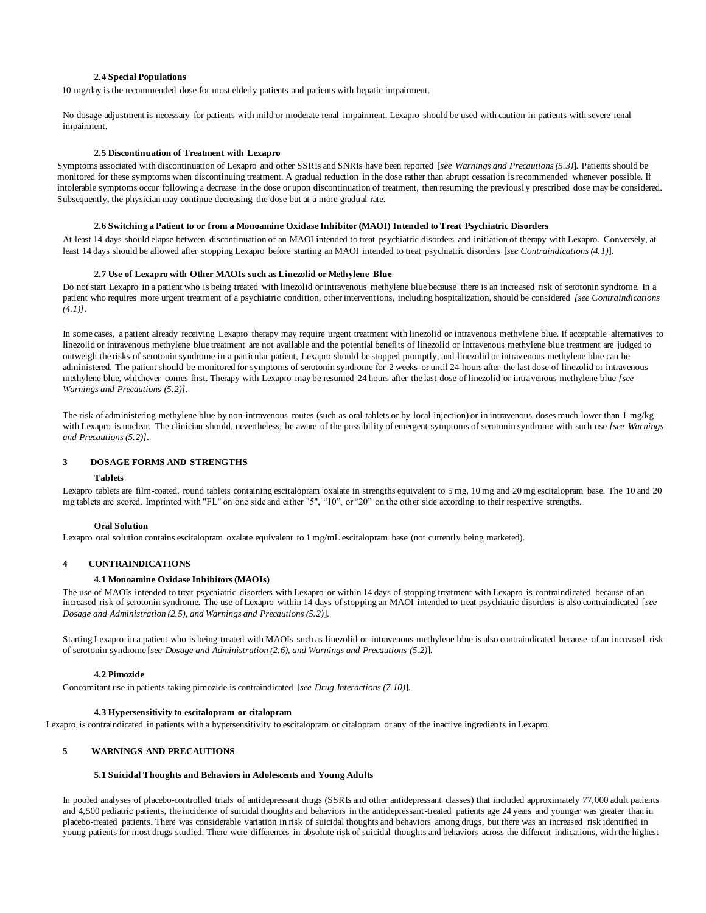### **2.4 Special Populations**

10 mg/day is the recommended dose for most elderly patients and patients with hepatic impairment.

No dosage adjustment is necessary for patients with mild or moderate renal impairment. Lexapro should be used with caution in patients with severe renal impairment.

### **2.5 Discontinuation of Treatment with Lexapro**

Symptoms associated with discontinuation of Lexapro and other SSRIs and SNRIs have been reported [*see Warnings and Precautions (5.3)*]. Patients should be monitored for these symptoms when discontinuing treatment. A gradual reduction in the dose rather than abrupt cessation is recommended whenever possible. If intolerable symptoms occur following a decrease in the dose or upon discontinuation of treatment, then resuming the previousl y prescribed dose may be considered. Subsequently, the physician may continue decreasing the dose but at a more gradual rate.

### **2.6 Switching a Patient to or from a Monoamine Oxidase Inhibitor (MAOI) Intended to Treat Psychiatric Disorders**

At least 14 days should elapse between discontinuation of an MAOI intended to treat psychiatric disorders and initiation of therapy with Lexapro. Conversely, at least 14 days should be allowed after stopping Lexapro before starting an MAOI intended to treat psychiatric disorders [*see Contraindications (4.1)*].

### **2.7 Use of Lexapro with Other MAOIs such as Linezolid or Methylene Blue**

Do not start Lexapro in a patient who is being treated with linezolid or intravenous methylene blue because there is an increased risk of serotonin syndrome. In a patient who requires more urgent treatment of a psychiatric condition, other interventions, including hospitalization, should be considered *[see Contraindications (4.1)]*.

In some cases, a patient already receiving Lexapro therapy may require urgent treatment with linezolid or intravenous methylene blue. If acceptable alternatives to linezolid or intravenous methylene blue treatment are not available and the potential benefits of linezolid or intravenous methylene blue treatment are judged to outweigh the risks of serotonin syndrome in a particular patient, Lexapro should be stopped promptly, and linezolid or intravenous methylene blue can be administered. The patient should be monitored for symptoms of serotonin syndrome for 2 weeks or until 24 hours after the last dose of linezolid or intravenous methylene blue, whichever comes first. Therapy with Lexapro may be resumed 24 hours after the last dose of linezolid or intravenous methylene blue *[see Warnings and Precautions (5.2)]*.

The risk of administering methylene blue by non-intravenous routes (such as oral tablets or by local injection) or in intravenous doses much lower than 1 mg/kg with Lexapro is unclear. The clinician should, nevertheless, be aware of the possibility of emergent symptoms of serotonin syndrome with such use *[see Warnings and Precautions (5.2)]*.

# **3 DOSAGE FORMS AND STRENGTHS**

#### **Tablets**

Lexapro tablets are film-coated, round tablets containing escitalopram oxalate in strengths equivalent to 5 mg, 10 mg and 20 mg escitalopram base. The 10 and 20 mg tablets are scored. Imprinted with "FL" on one side and either "5", "10", or "20" on the other side according to their respective strengths.

### **Oral Solution**

Lexapro oral solution contains escitalopram oxalate equivalent to 1 mg/mL escitalopram base (not currently being marketed).

### **4 CONTRAINDICATIONS**

#### **4.1 Monoamine Oxidase Inhibitors (MAOIs)**

The use of MAOIs intended to treat psychiatric disorders with Lexapro or within 14 days of stopping treatment with Lexapro is contraindicated because of an increased risk of serotonin syndrome. The use of Lexapro within 14 days of stopping an MAOI intended to treat psychiatric disorders is also contraindicated [*see Dosage and Administration (2.5), and Warnings and Precautions (5.2)*].

Starting Lexapro in a patient who is being treated with MAOIs such as linezolid or intravenous methylene blue is also contraindicated because of an increased risk of serotonin syndrome [*see Dosage and Administration (2.6), and Warnings and Precautions (5.2)*].

#### **4.2 Pimozide**

Concomitant use in patients taking pimozide is contraindicated [*see Drug Interactions (7.10)*].

## **4.3 Hypersensitivity to escitalopram or citalopram**

Lexapro is contraindicated in patients with a hypersensitivity to escitalopram or citalopram or any of the inactive ingredients in Lexapro.

### **5 WARNINGS AND PRECAUTIONS**

#### **5.1 Suicidal Thoughts and Behaviors in Adolescents and Young Adults**

In pooled analyses of placebo-controlled trials of antidepressant drugs (SSRIs and other antidepressant classes) that included approximately 77,000 adult patients and 4,500 pediatric patients, the incidence of suicidal thoughts and behaviors in the antidepressant-treated patients age 24 years and younger was greater than in placebo-treated patients. There was considerable variation in risk of suicidal thoughts and behaviors among drugs, but there was an increased risk identified in young patients for most drugs studied. There were differences in absolute risk of suicidal thoughts and behaviors across the different indications, with the highest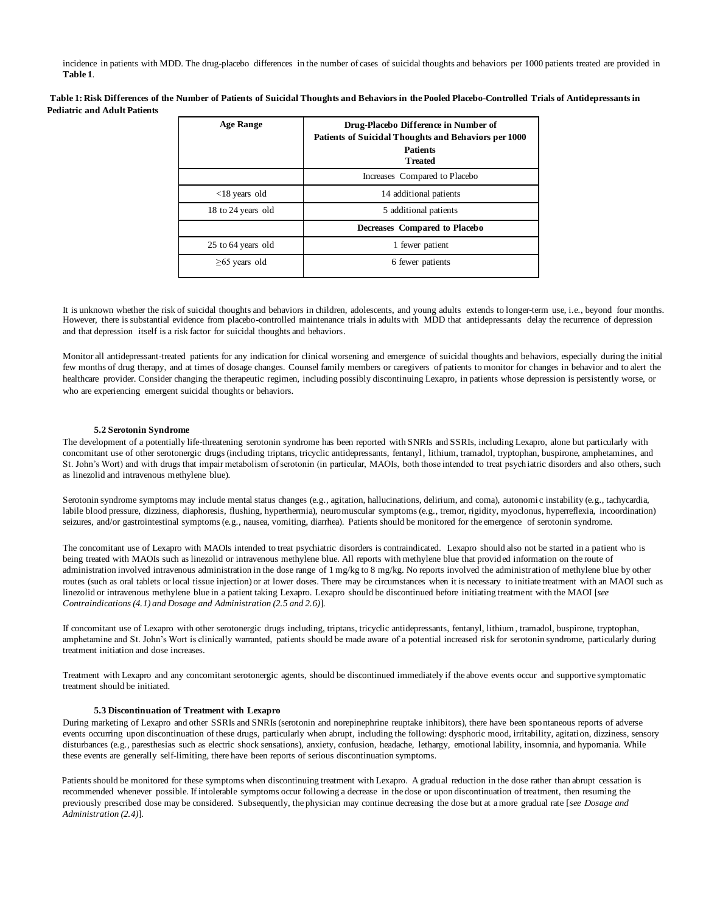incidence in patients with MDD. The drug-placebo differences in the number of cases of suicidal thoughts and behaviors per 1000 patients treated are provided in **Table 1**.

**Table 1: Risk Differences of the Number of Patients of Suicidal Thoughts and Behaviors in the Pooled Placebo-Controlled Trials of Antidepressants in Pediatric and Adult Patients**

| <b>Age Range</b>    | Drug-Placebo Difference in Number of<br><b>Patients of Suicidal Thoughts and Behaviors per 1000</b><br><b>Patients</b><br><b>Treated</b> |
|---------------------|------------------------------------------------------------------------------------------------------------------------------------------|
|                     | Increases Compared to Placebo                                                                                                            |
| $<$ 18 years old    | 14 additional patients                                                                                                                   |
| 18 to 24 years old  | 5 additional patients                                                                                                                    |
|                     | Decreases Compared to Placebo                                                                                                            |
| 25 to 64 years old  | 1 fewer patient                                                                                                                          |
| $\geq 65$ years old | 6 fewer patients                                                                                                                         |

It is unknown whether the risk of suicidal thoughts and behaviors in children, adolescents, and young adults extends to longer-term use, i.e., beyond four months. However, there is substantial evidence from placebo-controlled maintenance trials in adults with MDD that antidepressants delay the recurrence of depression and that depression itself is a risk factor for suicidal thoughts and behaviors.

Monitor all antidepressant-treated patients for any indication for clinical worsening and emergence of suicidal thoughts and behaviors, especially during the initial few months of drug therapy, and at times of dosage changes. Counsel family members or caregivers of patients to monitor for changes in behavior and to alert the healthcare provider. Consider changing the therapeutic regimen, including possibly discontinuing Lexapro, in patients whose depression is persistently worse, or who are experiencing emergent suicidal thoughts or behaviors.

### **5.2 Serotonin Syndrome**

The development of a potentially life-threatening serotonin syndrome has been reported with SNRIs and SSRIs, including Lexapro, alone but particularly with concomitant use of other serotonergic drugs (including triptans, tricyclic antidepressants, fentanyl, lithium, tramadol, tryptophan, buspirone, amphetamines, and St. John's Wort) and with drugs that impair metabolism of serotonin (in particular, MAOIs, both those intended to treat psychiatric disorders and also others, such as linezolid and intravenous methylene blue).

Serotonin syndrome symptoms may include mental status changes (e.g., agitation, hallucinations, delirium, and coma), autonomi c instability (e.g., tachycardia, labile blood pressure, dizziness, diaphoresis, flushing, hyperthermia), neuromuscular symptoms (e.g., tremor, rigidity, myoclonus, hyperreflexia, incoordination) seizures, and/or gastrointestinal symptoms (e.g., nausea, vomiting, diarrhea). Patients should be monitored for the emergence of serotonin syndrome.

The concomitant use of Lexapro with MAOIs intended to treat psychiatric disorders is contraindicated. Lexapro should also not be started in a patient who is being treated with MAOIs such as linezolid or intravenous methylene blue. All reports with methylene blue that provided information on the route of administration involved intravenous administration in the dose range of 1 mg/kg to 8 mg/kg. No reports involved the administration of methylene blue by other routes (such as oral tablets or local tissue injection) or at lower doses. There may be circumstances when it is necessary to initiate treatment with an MAOI such as linezolid or intravenous methylene blue in a patient taking Lexapro. Lexapro should be discontinued before initiating treatment with the MAOI [*see Contraindications (4.1) and Dosage and Administration (2.5 and 2.6)*].

If concomitant use of Lexapro with other serotonergic drugs including, triptans, tricyclic antidepressants, fentanyl, lithium, tramadol, buspirone, tryptophan, amphetamine and St. John's Wort is clinically warranted, patients should be made aware of a potential increased risk for serotonin syndrome, particularly during treatment initiation and dose increases.

Treatment with Lexapro and any concomitant serotonergic agents, should be discontinued immediately if the above events occur and supportive symptomatic treatment should be initiated.

## **5.3 Discontinuation of Treatment with Lexapro**

During marketing of Lexapro and other SSRIs and SNRIs (serotonin and norepinephrine reuptake inhibitors), there have been spontaneous reports of adverse events occurring upon discontinuation of these drugs, particularly when abrupt, including the following: dysphoric mood, irritability, agitati on, dizziness, sensory disturbances (e.g., paresthesias such as electric shock sensations), anxiety, confusion, headache, lethargy, emotional lability, insomnia, and hypomania. While these events are generally self-limiting, there have been reports of serious discontinuation symptoms.

Patients should be monitored for these symptoms when discontinuing treatment with Lexapro. A gradual reduction in the dose rather than abrupt cessation is recommended whenever possible. If intolerable symptoms occur following a decrease in the dose or upon discontinuation of treatment, then resuming the previously prescribed dose may be considered. Subsequently, the physician may continue decreasing the dose but at a more gradual rate [*see Dosage and Administration (2.4)*].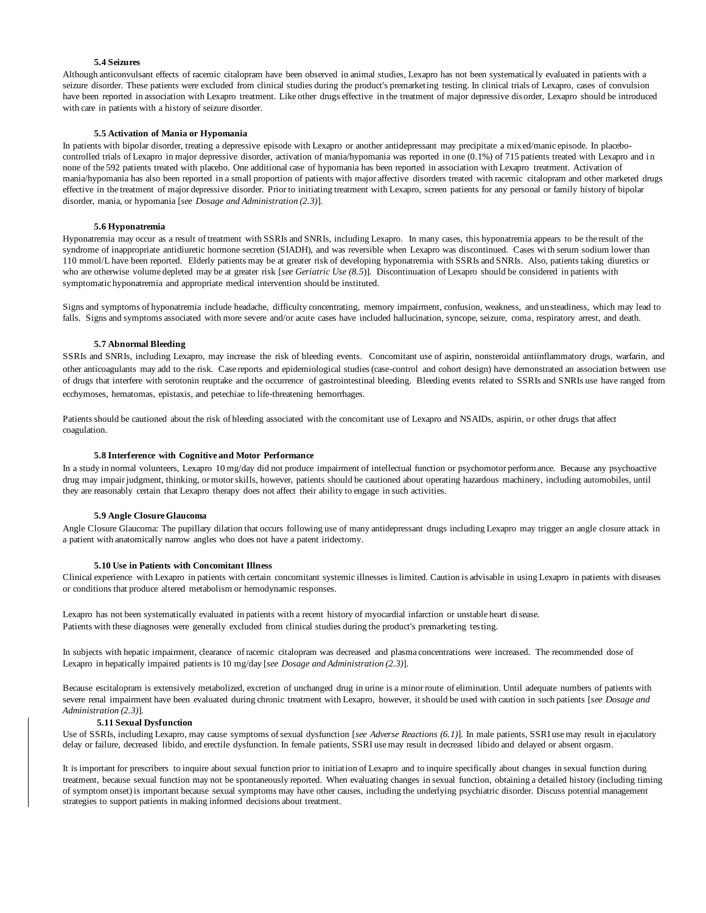# **5.4 Seizures**

Although anticonvulsant effects of racemic citalopram have been observed in animal studies, Lexapro has not been systematically evaluated in patients with a seizure disorder. These patients were excluded from clinical studies during the product's premarketing testing. In clinical trials of Lexapro, cases of convulsion have been reported in association with Lexapro treatment. Like other drugs effective in the treatment of major depressive disorder, Lexapro should be introduced with care in patients with a history of seizure disorder.

#### **5.5 Activation of Mania or Hypomania**

In patients with bipolar disorder, treating a depressive episode with Lexapro or another antidepressant may precipitate a mixed/manic episode. In placebocontrolled trials of Lexapro in major depressive disorder, activation of mania/hypomania was reported in one (0.1%) of 715 patients treated with Lexapro and i n none of the 592 patients treated with placebo. One additional case of hypomania has been reported in association with Lexapro treatment. Activation of mania/hypomania has also been reported in a small proportion of patients with major affective disorders treated with racemic citalopram and other marketed drugs effective in the treatment of major depressive disorder. Prior to initiating treatment with Lexapro, screen patients for any personal or family history of bipolar disorder, mania, or hypomania [*see Dosage and Administration (2.3)*].

#### **5.6 Hyponatremia**

Hyponatremia may occur as a result of treatment with SSRIs and SNRIs, including Lexapro. In many cases, this hyponatremia appears to be the result of the syndrome of inappropriate antidiuretic hormone secretion (SIADH), and was reversible when Lexapro was discontinued. Cases with serum sodium lower than 110 mmol/L have been reported. Elderly patients may be at greater risk of developing hyponatremia with SSRIs and SNRIs. Also, patients taking diuretics or who are otherwise volume depleted may be at greater risk [*see Geriatric Use (8.5*)]. Discontinuation of Lexapro should be considered in patients with symptomatic hyponatremia and appropriate medical intervention should be instituted.

Signs and symptoms of hyponatremia include headache, difficulty concentrating, memory impairment, confusion, weakness, and unsteadiness, which may lead to falls. Signs and symptoms associated with more severe and/or acute cases have included hallucination, syncope, seizure, coma, respiratory arrest, and death.

### **5.7 Abnormal Bleeding**

SSRIs and SNRIs, including Lexapro, may increase the risk of bleeding events. Concomitant use of aspirin, nonsteroidal antiinflammatory drugs, warfarin, and other anticoagulants may add to the risk. Case reports and epidemiological studies (case-control and cohort design) have demonstrated an association between use of drugs that interfere with serotonin reuptake and the occurrence of gastrointestinal bleeding. Bleeding events related to SSRIs and SNRIs use have ranged from ecchymoses, hematomas, epistaxis, and petechiae to life-threatening hemorrhages.

Patients should be cautioned about the risk of bleeding associated with the concomitant use of Lexapro and NSAIDs, aspirin, or other drugs that affect coagulation.

#### **5.8 Interference with Cognitive and Motor Performance**

In a study in normal volunteers, Lexapro 10 mg/day did not produce impairment of intellectual function or psychomotor performance. Because any psychoactive drug may impair judgment, thinking, or motor skills, however, patients should be cautioned about operating hazardous machinery, including automobiles, until they are reasonably certain that Lexapro therapy does not affect their ability to engage in such activities.

#### **5.9 Angle Closure Glaucoma**

Angle Closure Glaucoma: The pupillary dilation that occurs following use of many antidepressant drugs including Lexapro may trigger an angle closure attack in a patient with anatomically narrow angles who does not have a patent iridectomy.

#### **5.10 Use in Patients with Concomitant Illness**

Clinical experience with Lexapro in patients with certain concomitant systemic illnesses is limited. Caution is advisable in using Lexapro in patients with diseases or conditions that produce altered metabolism or hemodynamic responses.

Lexapro has not been systematically evaluated in patients with a recent history of myocardial infarction or unstable heart disease. Patients with these diagnoses were generally excluded from clinical studies during the product's premarketing testing.

In subjects with hepatic impairment, clearance of racemic citalopram was decreased and plasma concentrations were increased. The recommended dose of Lexapro in hepatically impaired patients is 10 mg/day [*see Dosage and Administration (2.3)*].

Because escitalopram is extensively metabolized, excretion of unchanged drug in urine is a minor route of elimination. Until adequate numbers of patients with severe renal impairment have been evaluated during chronic treatment with Lexapro, however, it should be used with caution in such patients [*see Dosage and Administration (2.3)*].

#### **5.11 Sexual Dysfunction**

Use of SSRIs, including Lexapro, may cause symptoms of sexual dysfunction [*see Adverse Reactions (6.1)*]. In male patients, SSRI use may result in ejaculatory delay or failure, decreased libido, and erectile dysfunction. In female patients, SSRI use may result in decreased libido and delayed or absent orgasm.

It is important for prescribers to inquire about sexual function prior to initiation of Lexapro and to inquire specifically about changes in sexual function during treatment, because sexual function may not be spontaneously reported. When evaluating changes in sexual function, obtaining a detailed history (including timing of symptom onset) is important because sexual symptoms may have other causes, including the underlying psychiatric disorder. Discuss potential management strategies to support patients in making informed decisions about treatment.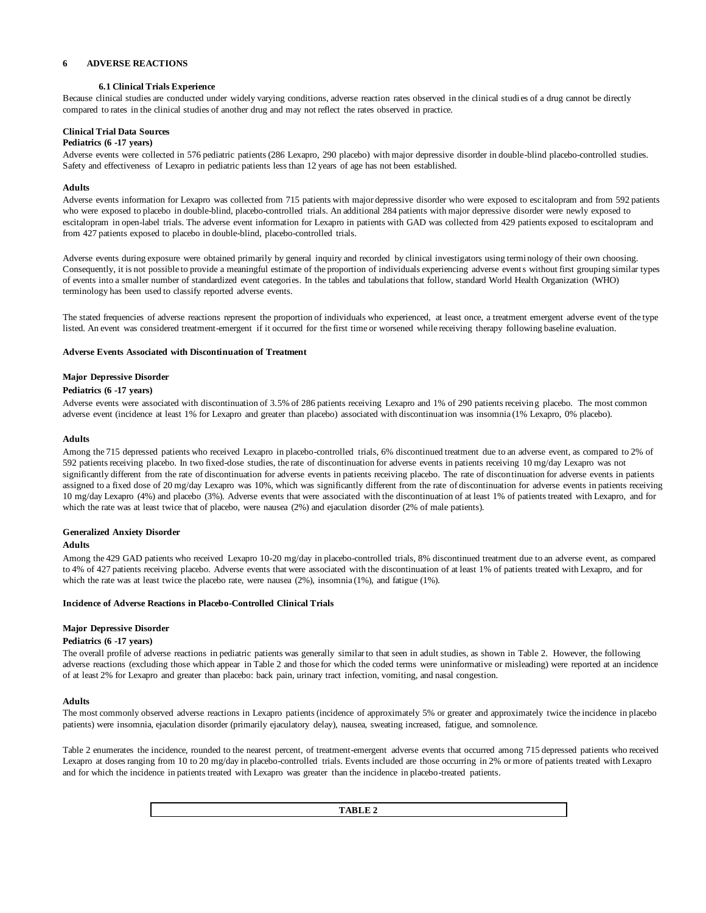# **6 ADVERSE REACTIONS**

## **6.1 Clinical Trials Experience**

Because clinical studies are conducted under widely varying conditions, adverse reaction rates observed in the clinical studies of a drug cannot be directly compared to rates in the clinical studies of another drug and may not reflect the rates observed in practice.

# **Clinical Trial Data Sources**

#### **Pediatrics (6 -17 years)**

Adverse events were collected in 576 pediatric patients (286 Lexapro, 290 placebo) with major depressive disorder in double-blind placebo-controlled studies. Safety and effectiveness of Lexapro in pediatric patients less than 12 years of age has not been established.

### **Adults**

Adverse events information for Lexapro was collected from 715 patients with major depressive disorder who were exposed to escitalopram and from 592 patients who were exposed to placebo in double-blind, placebo-controlled trials. An additional 284 patients with major depressive disorder were newly exposed to escitalopram in open-label trials. The adverse event information for Lexapro in patients with GAD was collected from 429 patients exposed to escitalopram and from 427 patients exposed to placebo in double-blind, placebo-controlled trials.

Adverse events during exposure were obtained primarily by general inquiry and recorded by clinical investigators using termi nology of their own choosing. Consequently, it is not possible to provide a meaningful estimate of the proportion of individuals experiencing adverse events without first grouping similar types of events into a smaller number of standardized event categories. In the tables and tabulations that follow, standard World Health Organization (WHO) terminology has been used to classify reported adverse events.

The stated frequencies of adverse reactions represent the proportion of individuals who experienced, at least once, a treatment emergent adverse event of the type listed. An event was considered treatment-emergent if it occurred for the first time or worsened while receiving therapy following baseline evaluation.

### **Adverse Events Associated with Discontinuation of Treatment**

### **Major Depressive Disorder**

### **Pediatrics (6 -17 years)**

Adverse events were associated with discontinuation of 3.5% of 286 patients receiving Lexapro and 1% of 290 patients receiving placebo. The most common adverse event (incidence at least 1% for Lexapro and greater than placebo) associated with discontinuation was insomnia (1% Lexapro, 0% placebo).

### **Adults**

Among the 715 depressed patients who received Lexapro in placebo-controlled trials, 6% discontinued treatment due to an adverse event, as compared to 2% of 592 patients receiving placebo. In two fixed-dose studies, the rate of discontinuation for adverse events in patients receiving 10 mg/day Lexapro was not significantly different from the rate of discontinuation for adverse events in patients receiving placebo. The rate of discontinuation for adverse events in patients assigned to a fixed dose of 20 mg/day Lexapro was 10%, which was significantly different from the rate of discontinuation for adverse events in patients receiving 10 mg/day Lexapro (4%) and placebo (3%). Adverse events that were associated with the discontinuation of at least 1% of patients treated with Lexapro, and for which the rate was at least twice that of placebo, were nausea (2%) and ejaculation disorder (2% of male patients).

### **Generalized Anxiety Disorder**

### **Adults**

Among the 429 GAD patients who received Lexapro 10-20 mg/day in placebo-controlled trials, 8% discontinued treatment due to an adverse event, as compared to 4% of 427 patients receiving placebo. Adverse events that were associated with the discontinuation of at least 1% of patients treated with Lexapro, and for which the rate was at least twice the placebo rate, were nausea (2%), insomnia (1%), and fatigue (1%).

### **Incidence of Adverse Reactions in Placebo-Controlled Clinical Trials**

### **Major Depressive Disorder**

### **Pediatrics (6 -17 years)**

The overall profile of adverse reactions in pediatric patients was generally similar to that seen in adult studies, as shown in Table 2. However, the following adverse reactions (excluding those which appear in Table 2 and those for which the coded terms were uninformative or misleading) were reported at an incidence of at least 2% for Lexapro and greater than placebo: back pain, urinary tract infection, vomiting, and nasal congestion.

### **Adults**

The most commonly observed adverse reactions in Lexapro patients (incidence of approximately 5% or greater and approximately twice the incidence in placebo patients) were insomnia, ejaculation disorder (primarily ejaculatory delay), nausea, sweating increased, fatigue, and somnolence.

Table 2 enumerates the incidence, rounded to the nearest percent, of treatment-emergent adverse events that occurred among 715 depressed patients who received Lexapro at doses ranging from 10 to 20 mg/day in placebo-controlled trials. Events included are those occurring in 2% or more of patients treated with Lexapro and for which the incidence in patients treated with Lexapro was greater than the incidence in placebo-treated patients.

**TABLE 2**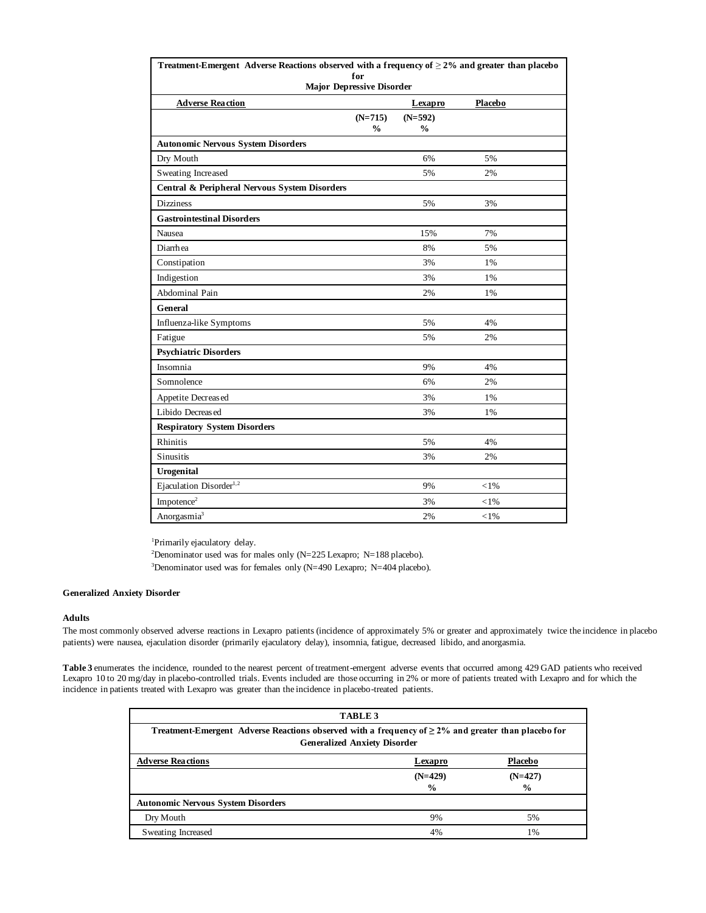| Treatment-Emergent Adverse Reactions observed with a frequency of $\geq$ 2% and greater than placebo |               |                |          |
|------------------------------------------------------------------------------------------------------|---------------|----------------|----------|
| for<br><b>Major Depressive Disorder</b>                                                              |               |                |          |
| <b>Adverse Reaction</b>                                                                              |               | <b>Lexapro</b> | Placebo  |
|                                                                                                      | $(N=715)$     | $(N=592)$      |          |
|                                                                                                      | $\frac{0}{0}$ | $\frac{0}{0}$  |          |
| <b>Autonomic Nervous System Disorders</b>                                                            |               |                |          |
| Dry Mouth                                                                                            |               | 6%             | 5%       |
| Sweating Increased                                                                                   |               | 5%             | 2%       |
| Central & Peripheral Nervous System Disorders                                                        |               |                |          |
| <b>Dizziness</b>                                                                                     |               | 5%             | 3%       |
| <b>Gastrointestinal Disorders</b>                                                                    |               |                |          |
| Nausea                                                                                               |               | 15%            | 7%       |
| Diarrhea                                                                                             |               | 8%             | 5%       |
| Constipation                                                                                         |               | 3%             | 1%       |
| Indigestion                                                                                          |               | 3%             | 1%       |
| Abdominal Pain                                                                                       |               | 2%             | 1%       |
| General                                                                                              |               |                |          |
| Influenza-like Symptoms                                                                              |               | 5%             | 4%       |
| Fatigue                                                                                              |               | 5%             | 2%       |
| <b>Psychiatric Disorders</b>                                                                         |               |                |          |
| Insomnia                                                                                             |               | 9%             | 4%       |
| Somnolence                                                                                           |               | 6%             | 2%       |
| Appetite Decreased                                                                                   |               | 3%             | 1%       |
| Libido Decreas ed                                                                                    |               | 3%             | 1%       |
| <b>Respiratory System Disorders</b>                                                                  |               |                |          |
| Rhinitis                                                                                             |               | 5%             | 4%       |
| Sinusitis                                                                                            |               | 3%             | 2%       |
| Urogenital                                                                                           |               |                |          |
| Ejaculation Disorder <sup>1,2</sup>                                                                  |               | 9%             | $<$ 1%   |
| Impotence <sup>2</sup>                                                                               |               | 3%             | ${<}1\%$ |
| Anorgasmia <sup>3</sup>                                                                              |               | 2%             | $<$ 1%   |

<sup>1</sup>Primarily ejaculatory delay.

<sup>2</sup>Denominator used was for males only (N=225 Lexapro; N=188 placebo).

<sup>3</sup>Denominator used was for females only (N=490 Lexapro; N=404 placebo).

### **Generalized Anxiety Disorder**

### **Adults**

The most commonly observed adverse reactions in Lexapro patients (incidence of approximately 5% or greater and approximately twice the incidence in placebo patients) were nausea, ejaculation disorder (primarily ejaculatory delay), insomnia, fatigue, decreased libido, and anorgasmia.

**Table 3** enumerates the incidence, rounded to the nearest percent of treatment-emergent adverse events that occurred among 429 GAD patients who received Lexapro 10 to 20 mg/day in placebo-controlled trials. Events included are those occurring in 2% or more of patients treated with Lexapro and for which the incidence in patients treated with Lexapro was greater than the incidence in placebo-treated patients.

|                                                                                                                                                  | TABLE 3       |                |  |  |
|--------------------------------------------------------------------------------------------------------------------------------------------------|---------------|----------------|--|--|
| Treatment-Emergent Adverse Reactions observed with a frequency of $\geq 2\%$ and greater than placebo for<br><b>Generalized Anxiety Disorder</b> |               |                |  |  |
| <b>Adverse Reactions</b>                                                                                                                         | Lexapro       | <b>Placebo</b> |  |  |
|                                                                                                                                                  | $(N=429)$     | $(N=427)$      |  |  |
|                                                                                                                                                  | $\frac{0}{0}$ | $\frac{6}{9}$  |  |  |
| <b>Autonomic Nervous System Disorders</b>                                                                                                        |               |                |  |  |
| Dry Mouth                                                                                                                                        | 9%            | 5%             |  |  |
| Sweating Increased                                                                                                                               | 4%            | 1%             |  |  |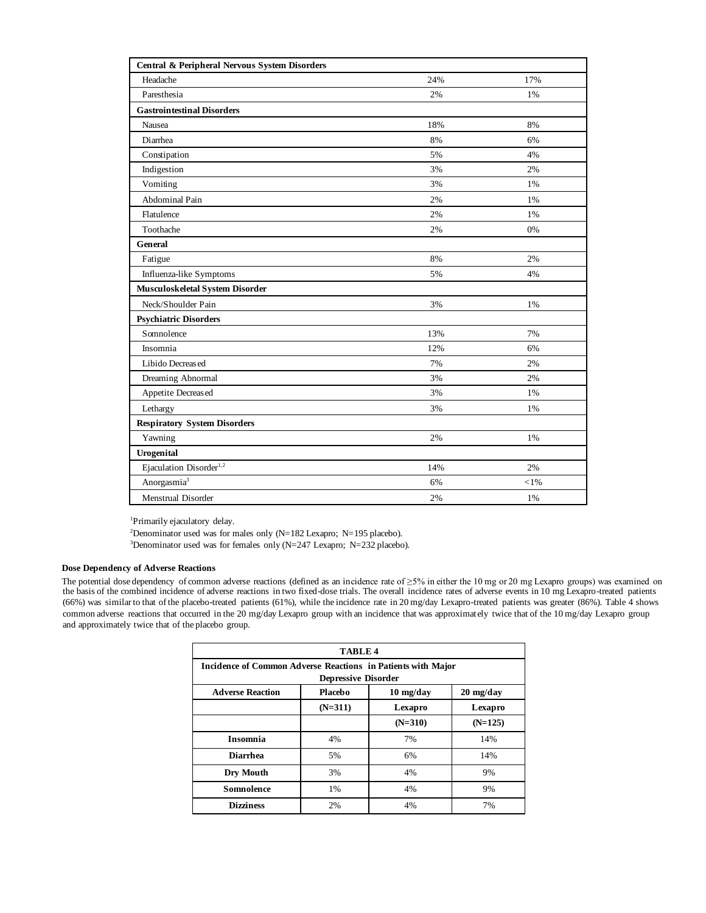| Central & Peripheral Nervous System Disorders |     |      |
|-----------------------------------------------|-----|------|
| Headache                                      | 24% | 17%  |
| Paresthesia                                   | 2%  | 1%   |
| <b>Gastrointestinal Disorders</b>             |     |      |
| Nausea                                        | 18% | 8%   |
| Diarrhea                                      | 8%  | 6%   |
| Constipation                                  | 5%  | 4%   |
| Indigestion                                   | 3%  | 2%   |
| Vomiting                                      | 3%  | 1%   |
| <b>Abdominal Pain</b>                         | 2%  | 1%   |
| Flatulence                                    | 2%  | 1%   |
| Toothache                                     | 2%  | 0%   |
| General                                       |     |      |
| Fatigue                                       | 8%  | 2%   |
| Influenza-like Symptoms                       | 5%  | 4%   |
| Musculoskeletal System Disorder               |     |      |
| Neck/Shoulder Pain                            | 3%  | 1%   |
| <b>Psychiatric Disorders</b>                  |     |      |
| Somnolence                                    | 13% | 7%   |
| Insomnia                                      | 12% | 6%   |
| Libido Decreas ed                             | 7%  | 2%   |
| Dreaming Abnormal                             | 3%  | 2%   |
| Appetite Decreased                            | 3%  | 1%   |
| Lethargy                                      | 3%  | 1%   |
| <b>Respiratory System Disorders</b>           |     |      |
| Yawning                                       | 2%  | 1%   |
| <b>Urogenital</b>                             |     |      |
| Ejaculation Disorder <sup>1,2</sup>           | 14% | 2%   |
| Anorgasmia <sup>3</sup>                       | 6%  | < 1% |
| Menstrual Disorder                            | 2%  | 1%   |

<sup>1</sup>Primarily ejaculatory delay.

<sup>2</sup>Denominator used was for males only (N=182 Lexapro; N=195 placebo).

<sup>3</sup>Denominator used was for females only (N=247 Lexapro; N=232 placebo).

### **Dose Dependency of Adverse Reactions**

The potential dose dependency of common adverse reactions (defined as an incidence rate of ≥5% in either the 10 mg or 20 mg Lexapro groups) was examined on the basis of the combined incidence of adverse reactions in two fixed-dose trials. The overall incidence rates of adverse events in 10 mg Lexapro-treated patients (66%) was similar to that of the placebo-treated patients (61%), while the incidence rate in 20 mg/day Lexapro-treated patients was greater (86%). Table 4 shows common adverse reactions that occurred in the 20 mg/day Lexapro group with an incidence that was approximately twice that of the 10 mg/day Lexapro group and approximately twice that of the placebo group.

| TABLE <sub>4</sub>                                           |                            |           |                                   |  |  |
|--------------------------------------------------------------|----------------------------|-----------|-----------------------------------|--|--|
| Incidence of Common Adverse Reactions in Patients with Major |                            |           |                                   |  |  |
|                                                              | <b>Depressive Disorder</b> |           |                                   |  |  |
| <b>Adverse Reaction</b>                                      | Placebo                    | 10 mg/day | $20 \frac{\text{mg}}{\text{day}}$ |  |  |
|                                                              | $(N=311)$                  | Lexapro   | Lexapro                           |  |  |
|                                                              |                            | $(N=310)$ | $(N=125)$                         |  |  |
| <b>Insomnia</b>                                              | 4%                         | 7%        | 14%                               |  |  |
| <b>Diarrhea</b>                                              | 5%                         | 6%        | 14%                               |  |  |
| Dry Mouth                                                    | 3%                         | 4%        | 9%                                |  |  |
| <b>Somnolence</b>                                            | 1%                         | 4%        | 9%                                |  |  |
| <b>Dizziness</b>                                             | 2%                         | 4%        | 7%                                |  |  |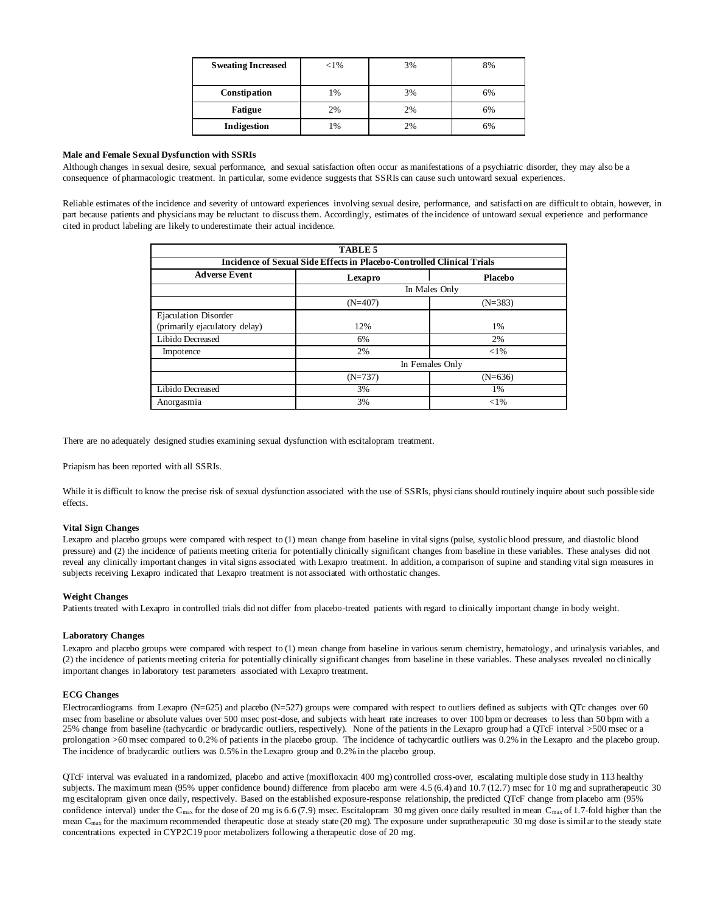| <b>Sweating Increased</b> | ${<}1\%$ | 3% | 8% |
|---------------------------|----------|----|----|
| Constipation              | 1%       | 3% | 6% |
| <b>Fatigue</b>            | 2%       | 2% | 6% |
| Indigestion               | 1%       | 2% | 6% |

### **Male and Female Sexual Dysfunction with SSRIs**

Although changes in sexual desire, sexual performance, and sexual satisfaction often occur as manifestations of a psychiatric disorder, they may also be a consequence of pharmacologic treatment. In particular, some evidence suggests that SSRIs can cause such untoward sexual experiences.

Reliable estimates of the incidence and severity of untoward experiences involving sexual desire, performance, and satisfacti on are difficult to obtain, however, in part because patients and physicians may be reluctant to discuss them. Accordingly, estimates of the incidence of untoward sexual experience and performance cited in product labeling are likely to underestimate their actual incidence.

|                                                                        | <b>TABLE 5</b>  |           |  |  |  |
|------------------------------------------------------------------------|-----------------|-----------|--|--|--|
| Incidence of Sexual Side Effects in Placebo-Controlled Clinical Trials |                 |           |  |  |  |
| <b>Adverse Event</b>                                                   | Lexapro         | Placebo   |  |  |  |
|                                                                        | In Males Only   |           |  |  |  |
|                                                                        | $(N=407)$       | $(N=383)$ |  |  |  |
| <b>Ejaculation Disorder</b><br>(primarily ejaculatory delay)           | 12%             | 1%        |  |  |  |
| Libido Decreased                                                       | 6%              | 2%        |  |  |  |
| Impotence                                                              | 2%              | ${<}1\%$  |  |  |  |
|                                                                        | In Females Only |           |  |  |  |
|                                                                        | $(N=737)$       | $(N=636)$ |  |  |  |
| Libido Decreased                                                       | 3%              | 1%        |  |  |  |
| Anorgasmia                                                             | 3%              | ${<}1\%$  |  |  |  |

There are no adequately designed studies examining sexual dysfunction with escitalopram treatment.

Priapism has been reported with all SSRIs.

While it is difficult to know the precise risk of sexual dysfunction associated with the use of SSRIs, physicians should routinely inquire about such possible side effects.

### **Vital Sign Changes**

Lexapro and placebo groups were compared with respect to (1) mean change from baseline in vital signs (pulse, systolic blood pressure, and diastolic blood pressure) and (2) the incidence of patients meeting criteria for potentially clinically significant changes from baseline in these variables. These analyses did not reveal any clinically important changes in vital signs associated with Lexapro treatment. In addition, a comparison of supine and standing vital sign measures in subjects receiving Lexapro indicated that Lexapro treatment is not associated with orthostatic changes.

### **Weight Changes**

Patients treated with Lexapro in controlled trials did not differ from placebo-treated patients with regard to clinically important change in body weight.

## **Laboratory Changes**

Lexapro and placebo groups were compared with respect to (1) mean change from baseline in various serum chemistry, hematology, and urinalysis variables, and (2) the incidence of patients meeting criteria for potentially clinically significant changes from baseline in these variables. These analyses revealed no clinically important changes in laboratory test parameters associated with Lexapro treatment.

### **ECG Changes**

Electrocardiograms from Lexapro (N=625) and placebo (N=527) groups were compared with respect to outliers defined as subjects with QTc changes over 60 msec from baseline or absolute values over 500 msec post-dose, and subjects with heart rate increases to over 100 bpm or decreases to less than 50 bpm with a 25% change from baseline (tachycardic or bradycardic outliers, respectively). None of the patients in the Lexapro group had a QTcF interval >500 msec or a prolongation >60 msec compared to 0.2% of patients in the placebo group. The incidence of tachycardic outliers was 0.2% in the Lexapro and the placebo group. The incidence of bradycardic outliers was 0.5% in the Lexapro group and 0.2% in the placebo group.

QTcF interval was evaluated in a randomized, placebo and active (moxifloxacin 400 mg) controlled cross-over, escalating multiple dose study in 113 healthy subjects. The maximum mean (95% upper confidence bound) difference from placebo arm were 4.5 (6.4) and 10.7 (12.7) msec for 10 mg and supratherapeutic 30 mg escitalopram given once daily, respectively. Based on the established exposure-response relationship, the predicted QTcF change from placebo arm (95% confidence interval) under the C<sub>max</sub> for the dose of 20 mg is 6.6 (7.9) msec. Escitalopram 30 mg given once daily resulted in mean C<sub>max</sub> of 1.7-fold higher than the mean  $C_{\text{max}}$  for the maximum recommended therapeutic dose at steady state (20 mg). The exposure under supratherapeutic 30 mg dose is simil ar to the steady state concentrations expected in CYP2C19 poor metabolizers following a therapeutic dose of 20 mg.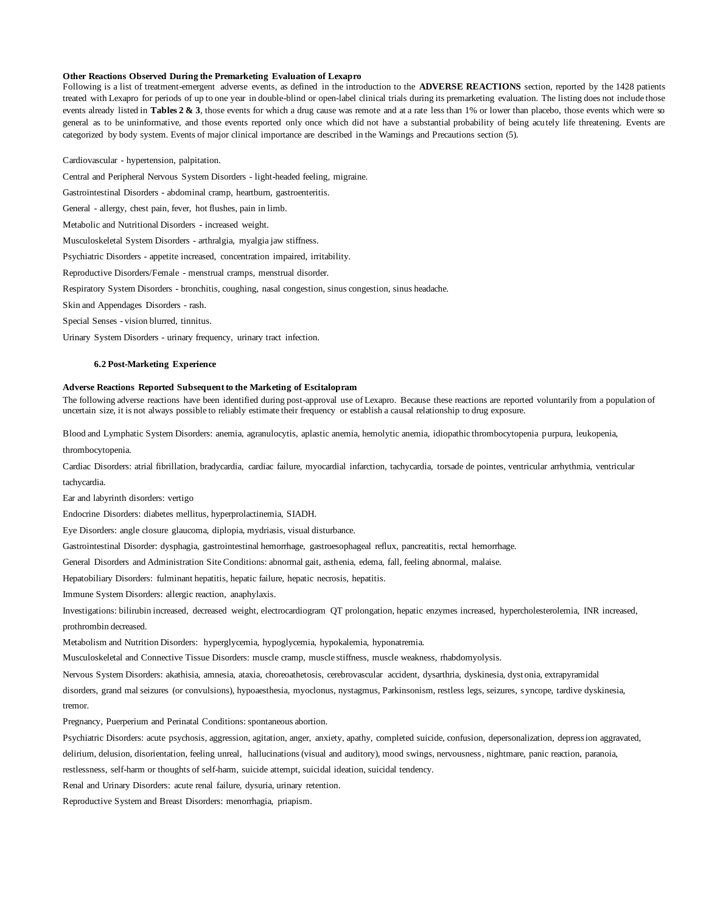#### **Other Reactions Observed During the Premarketing Evaluation of Lexapro**

Following is a list of treatment-emergent adverse events, as defined in the introduction to the **ADVERSE REACTIONS** section, reported by the 1428 patients treated with Lexapro for periods of up to one year in double-blind or open-label clinical trials during its premarketing evaluation. The listing does not include those events already listed in **Tables 2 & 3**, those events for which a drug cause was remote and at a rate less than 1% or lower than placebo, those events which were so general as to be uninformative, and those events reported only once which did not have a substantial probability of being acutely life threatening. Events are categorized by body system. Events of major clinical importance are described in the Warnings and Precautions section (5).

Cardiovascular - hypertension, palpitation.

Central and Peripheral Nervous System Disorders - light-headed feeling, migraine.

Gastrointestinal Disorders - abdominal cramp, heartburn, gastroenteritis.

General - allergy, chest pain, fever, hot flushes, pain in limb.

Metabolic and Nutritional Disorders - increased weight.

Musculoskeletal System Disorders - arthralgia, myalgia jaw stiffness.

Psychiatric Disorders - appetite increased, concentration impaired, irritability.

Reproductive Disorders/Female - menstrual cramps, menstrual disorder.

Respiratory System Disorders - bronchitis, coughing, nasal congestion, sinus congestion, sinus headache.

Skin and Appendages Disorders - rash.

Special Senses - vision blurred, tinnitus.

Urinary System Disorders - urinary frequency, urinary tract infection.

#### **6.2 Post-Marketing Experience**

#### **Adverse Reactions Reported Subsequent to the Marketing of Escitalopram**

The following adverse reactions have been identified during post-approval use of Lexapro. Because these reactions are reported voluntarily from a population of uncertain size, it is not always possible to reliably estimate their frequency or establish a causal relationship to drug exposure.

Blood and Lymphatic System Disorders: anemia, agranulocytis, aplastic anemia, hemolytic anemia, idiopathic thrombocytopenia purpura, leukopenia,

thrombocytopenia.

Cardiac Disorders: atrial fibrillation, bradycardia, cardiac failure, myocardial infarction, tachycardia, torsade de pointes, ventricular arrhythmia, ventricular tachycardia.

Ear and labyrinth disorders: vertigo

Endocrine Disorders: diabetes mellitus, hyperprolactinemia, SIADH.

Eye Disorders: angle closure glaucoma, diplopia, mydriasis, visual disturbance.

Gastrointestinal Disorder: dysphagia, gastrointestinal hemorrhage, gastroesophageal reflux, pancreatitis, rectal hemorrhage.

General Disorders and Administration Site Conditions: abnormal gait, asthenia, edema, fall, feeling abnormal, malaise.

Hepatobiliary Disorders: fulminant hepatitis, hepatic failure, hepatic necrosis, hepatitis.

Immune System Disorders: allergic reaction, anaphylaxis.

Investigations: bilirubin increased, decreased weight, electrocardiogram QT prolongation, hepatic enzymes increased, hypercholesterolemia, INR increased, prothrombin decreased.

Metabolism and Nutrition Disorders: hyperglycemia, hypoglycemia, hypokalemia, hyponatremia.

Musculoskeletal and Connective Tissue Disorders: muscle cramp, muscle stiffness, muscle weakness, rhabdomyolysis.

Nervous System Disorders: akathisia, amnesia, ataxia, choreoathetosis, cerebrovascular accident, dysarthria, dyskinesia, dyst onia, extrapyramidal

disorders, grand mal seizures (or convulsions), hypoaesthesia, myoclonus, nystagmus, Parkinsonism, restless legs, seizures, s yncope, tardive dyskinesia, tremor.

Pregnancy, Puerperium and Perinatal Conditions: spontaneous abortion.

Psychiatric Disorders: acute psychosis, aggression, agitation, anger, anxiety, apathy, completed suicide, confusion, depersonalization, depression aggravated,

delirium, delusion, disorientation, feeling unreal, hallucinations (visual and auditory), mood swings, nervousness, nightmare, panic reaction, paranoia,

restlessness, self-harm or thoughts of self-harm, suicide attempt, suicidal ideation, suicidal tendency.

Renal and Urinary Disorders: acute renal failure, dysuria, urinary retention.

Reproductive System and Breast Disorders: menorrhagia, priapism.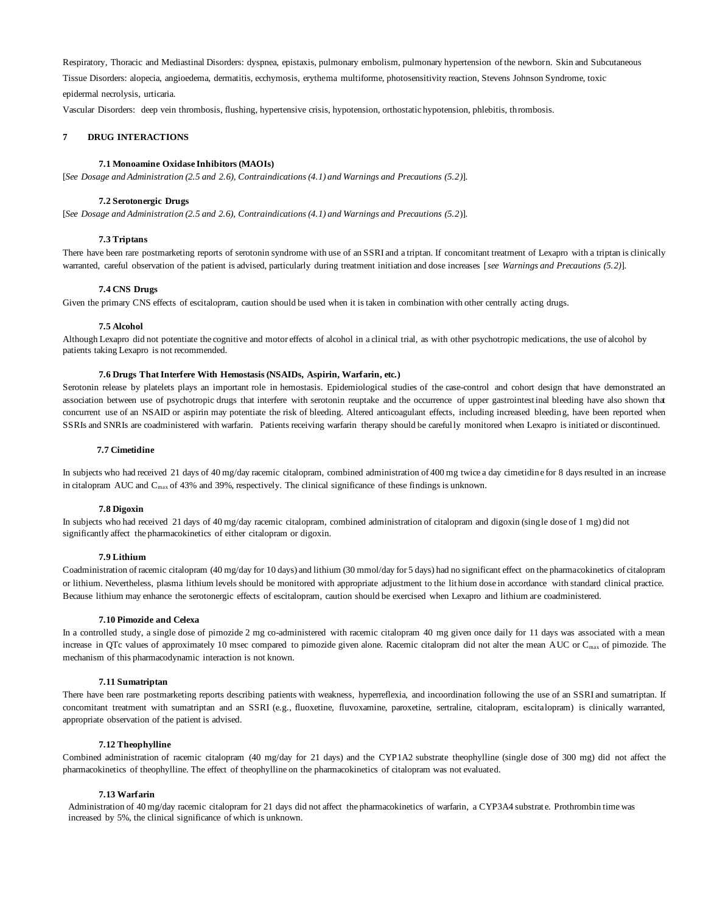Respiratory, Thoracic and Mediastinal Disorders: dyspnea, epistaxis, pulmonary embolism, pulmonary hypertension of the newborn. Skin and Subcutaneous Tissue Disorders: alopecia, angioedema, dermatitis, ecchymosis, erythema multiforme, photosensitivity reaction, Stevens Johnson Syndrome, toxic epidermal necrolysis, urticaria.

Vascular Disorders: deep vein thrombosis, flushing, hypertensive crisis, hypotension, orthostatic hypotension, phlebitis, thrombosis.

### **7 DRUG INTERACTIONS**

### **7.1 Monoamine Oxidase Inhibitors (MAOIs)**

[*See Dosage and Administration (2.5 and 2.6), Contraindications (4.1) and Warnings and Precautions (5.2)*].

#### **7.2 Serotonergic Drugs**

[*See Dosage and Administration (2.5 and 2.6), Contraindications (4.1) and Warnings and Precautions (5.2*)].

#### **7.3 Triptans**

There have been rare postmarketing reports of serotonin syndrome with use of an SSRI and a triptan. If concomitant treatment of Lexapro with a triptan is clinically warranted, careful observation of the patient is advised, particularly during treatment initiation and dose increases [*see Warnings and Precautions (5.2)*].

#### **7.4 CNS Drugs**

Given the primary CNS effects of escitalopram, caution should be used when it is taken in combination with other centrally acting drugs.

#### **7.5 Alcohol**

Although Lexapro did not potentiate the cognitive and motor effects of alcohol in a clinical trial, as with other psychotropic medications, the use of alcohol by patients taking Lexapro is not recommended.

### **7.6 Drugs That Interfere With Hemostasis (NSAIDs, Aspirin, Warfarin, etc.)**

Serotonin release by platelets plays an important role in hemostasis. Epidemiological studies of the case-control and cohort design that have demonstrated an association between use of psychotropic drugs that interfere with serotonin reuptake and the occurrence of upper gastrointestinal bleeding have also shown that concurrent use of an NSAID or aspirin may potentiate the risk of bleeding. Altered anticoagulant effects, including increased bleeding, have been reported when SSRIs and SNRIs are coadministered with warfarin. Patients receiving warfarin therapy should be carefully monitored when Lexapro is initiated or discontinued.

#### **7.7 Cimetidine**

In subjects who had received 21 days of 40 mg/day racemic citalopram, combined administration of 400 mg twice a day cimetidine for 8 days resulted in an increase in citalopram AUC and C<sub>max</sub> of 43% and 39%, respectively. The clinical significance of these findings is unknown.

#### **7.8 Digoxin**

In subjects who had received 21 days of 40 mg/day racemic citalopram, combined administration of citalopram and digoxin (single dose of 1 mg) did not significantly affect the pharmacokinetics of either citalopram or digoxin.

### **7.9 Lithium**

Coadministration of racemic citalopram (40 mg/day for 10 days) and lithium (30 mmol/day for 5 days) had no significant effect on the pharmacokinetics of citalopram or lithium. Nevertheless, plasma lithium levels should be monitored with appropriate adjustment to the lit hium dose in accordance with standard clinical practice. Because lithium may enhance the serotonergic effects of escitalopram, caution should be exercised when Lexapro and lithium are coadministered.

### **7.10 Pimozide and Celexa**

In a controlled study, a single dose of pimozide 2 mg co-administered with racemic citalopram 40 mg given once daily for 11 days was associated with a mean increase in QTc values of approximately 10 msec compared to pimozide given alone. Racemic citalopram did not alter the mean AUC or  $C_{\text{max}}$  of pimozide. The mechanism of this pharmacodynamic interaction is not known.

#### **7.11 Sumatriptan**

There have been rare postmarketing reports describing patients with weakness, hyperreflexia, and incoordination following the use of an SSRI and sumatriptan. If concomitant treatment with sumatriptan and an SSRI (e.g., fluoxetine, fluvoxamine, paroxetine, sertraline, citalopram, escitalopram) is clinically warranted, appropriate observation of the patient is advised.

#### **7.12 Theophylline**

Combined administration of racemic citalopram (40 mg/day for 21 days) and the CYP1A2 substrate theophylline (single dose of 300 mg) did not affect the pharmacokinetics of theophylline. The effect of theophylline on the pharmacokinetics of citalopram was not evaluated.

#### **7.13 Warfarin**

Administration of 40 mg/day racemic citalopram for 21 days did not affect the pharmacokinetics of warfarin, a CYP3A4 substrat e. Prothrombin time was increased by 5%, the clinical significance of which is unknown.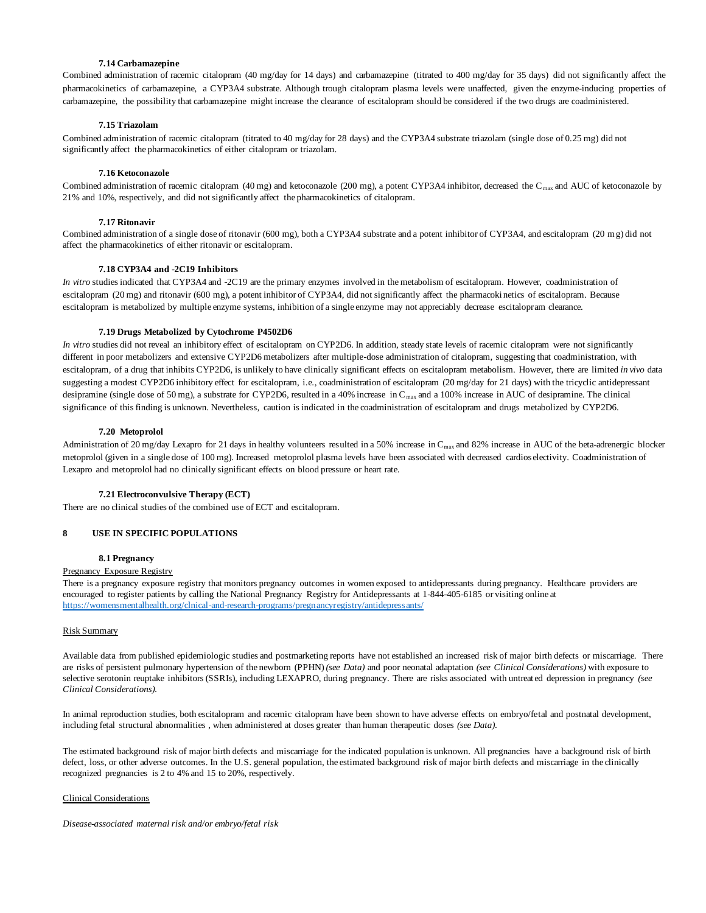### **7.14 Carbamazepine**

Combined administration of racemic citalopram (40 mg/day for 14 days) and carbamazepine (titrated to 400 mg/day for 35 days) did not significantly affect the pharmacokinetics of carbamazepine, a CYP3A4 substrate. Although trough citalopram plasma levels were unaffected, given the enzyme-inducing properties of carbamazepine, the possibility that carbamazepine might increase the clearance of escitalopram should be considered if the two drugs are coadministered.

## **7.15 Triazolam**

Combined administration of racemic citalopram (titrated to 40 mg/day for 28 days) and the CYP3A4 substrate triazolam (single dose of 0.25 mg) did not significantly affect the pharmacokinetics of either citalopram or triazolam.

#### **7.16 Ketoconazole**

Combined administration of racemic citalopram (40 mg) and ketoconazole (200 mg), a potent CYP3A4 inhibitor, decreased the C max and AUC of ketoconazole by 21% and 10%, respectively, and did not significantly affect the pharmacokinetics of citalopram.

### **7.17 Ritonavir**

Combined administration of a single dose of ritonavir (600 mg), both a CYP3A4 substrate and a potent inhibitor of CYP3A4, and escitalopram (20 mg) did not affect the pharmacokinetics of either ritonavir or escitalopram.

### **7.18 CYP3A4 and -2C19 Inhibitors**

*In vitro* studies indicated that CYP3A4 and -2C19 are the primary enzymes involved in the metabolism of escitalopram. However, coadministration of escitalopram (20 mg) and ritonavir (600 mg), a potent inhibitor of CYP3A4, did not significantly affect the pharmacoki netics of escitalopram. Because escitalopram is metabolized by multiple enzyme systems, inhibition of a single enzyme may not appreciably decrease escitalopram clearance.

#### **7.19 Drugs Metabolized by Cytochrome P4502D6**

*In vitro* studies did not reveal an inhibitory effect of escitalopram on CYP2D6. In addition, steady state levels of racemic citalopram were not significantly different in poor metabolizers and extensive CYP2D6 metabolizers after multiple-dose administration of citalopram, suggesting that coadministration, with escitalopram, of a drug that inhibits CYP2D6, is unlikely to have clinically significant effects on escitalopram metabolism. However, there are limited *in vivo* data suggesting a modest CYP2D6 inhibitory effect for escitalopram, i.e., coadministration of escitalopram (20 mg/day for 21 days) with the tricyclic antidepressant desipramine (single dose of 50 mg), a substrate for CYP2D6, resulted in a 40% increase in C<sub>max</sub> and a 100% increase in AUC of desipramine. The clinical significance of this finding is unknown. Nevertheless, caution is indicated in the coadministration of escitalopram and drugs metabolized by CYP2D6.

#### **7.20 Metoprolol**

Administration of 20 mg/day Lexapro for 21 days in healthy volunteers resulted in a 50% increase in C<sub>max</sub> and 82% increase in AUC of the beta-adrenergic blocker metoprolol (given in a single dose of 100 mg). Increased metoprolol plasma levels have been associated with decreased cardios electivity. Coadministration of Lexapro and metoprolol had no clinically significant effects on blood pressure or heart rate.

#### **7.21 Electroconvulsive Therapy (ECT)**

There are no clinical studies of the combined use of ECT and escitalopram.

### **8 USE IN SPECIFIC POPULATIONS**

## **8.1 Pregnancy**

## Pregnancy Exposure Registry

There is a pregnancy exposure registry that monitors pregnancy outcomes in women exposed to antidepressants during pregnancy. Healthcare providers are encouraged to register patients by calling the National Pregnancy Registry for Antidepressants at 1-844-405-6185 or visiting online at <https://womensmentalhealth.org/clnical-and-research-programs/pregnancyregistry/antidepressants/>

#### Risk Summary

Available data from published epidemiologic studies and postmarketing reports have not established an increased risk of major birth defects or miscarriage. There are risks of persistent pulmonary hypertension of the newborn (PPHN) *(see Data)* and poor neonatal adaptation *(see Clinical Considerations)* with exposure to selective serotonin reuptake inhibitors (SSRIs), including LEXAPRO, during pregnancy. There are risks associated with untreat ed depression in pregnancy *(see Clinical Considerations).* 

In animal reproduction studies, both escitalopram and racemic citalopram have been shown to have adverse effects on embryo/fetal and postnatal development, including fetal structural abnormalities , when administered at doses greater than human therapeutic doses *(see Data)*.

The estimated background risk of major birth defects and miscarriage for the indicated population is unknown. All pregnancies have a background risk of birth defect, loss, or other adverse outcomes. In the U.S. general population, the estimated background risk of major birth defects and miscarriage in the clinically recognized pregnancies is 2 to 4% and 15 to 20%, respectively.

#### Clinical Considerations

*Disease-associated maternal risk and/or embryo/fetal risk*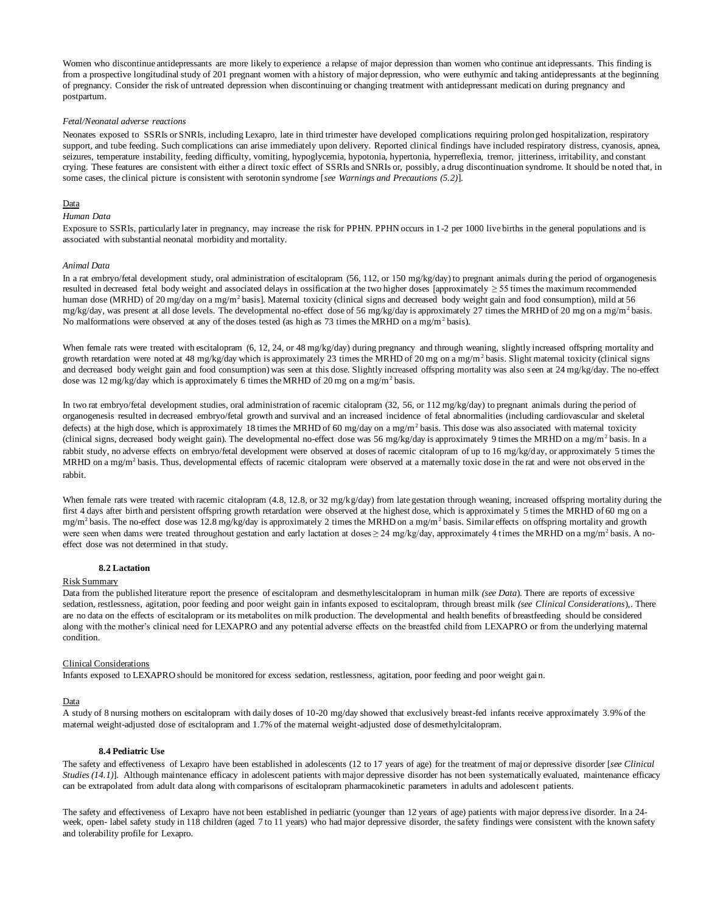Women who discontinue antidepressants are more likely to experience a relapse of major depression than women who continue antidepressants. This finding is from a prospective longitudinal study of 201 pregnant women with a history of major depression, who were euthymic and taking antidepressants at the beginning of pregnancy. Consider the risk of untreated depression when discontinuing or changing treatment with antidepressant medicati on during pregnancy and postpartum.

#### *Fetal/Neonatal adverse reactions*

Neonates exposed to SSRIs or SNRIs, including Lexapro, late in third trimester have developed complications requiring prolonged hospitalization, respiratory support, and tube feeding. Such complications can arise immediately upon delivery. Reported clinical findings have included respiratory distress, cyanosis, apnea, seizures, temperature instability, feeding difficulty, vomiting, hypoglycemia, hypotonia, hypertonia, hyperreflexia, tremor, jitteriness, irritability, and constant crying. These features are consistent with either a direct toxic effect of SSRIs and SNRIs or, possibly, a drug discontinuation syndrome. It should be noted that, in some cases, the clinical picture is consistent with serotonin syndrome [*see Warnings and Precautions (5.2)*].

#### Data

### *Human Data*

Exposure to SSRIs, particularly later in pregnancy, may increase the risk for PPHN. PPHN occurs in 1-2 per 1000 live births in the general populations and is associated with substantial neonatal morbidity and mortality.

#### *Animal Data*

In a rat embryo/fetal development study, oral administration of escitalopram (56, 112, or 150 mg/kg/day) to pregnant animals during the period of organogenesis resulted in decreased fetal body weight and associated delays in ossification at the two higher doses [approximately  $\geq$  55 times the maximum recommended human dose (MRHD) of 20 mg/day on a mg/m<sup>2</sup> basis]. Maternal toxicity (clinical signs and decreased body weight gain and food consumption), mild at 56 mg/kg/day, was present at all dose levels. The developmental no-effect dose of 56 mg/kg/day is approximately 27 times the MRHD of 20 mg on a mg/m<sup>2</sup> basis. No malformations were observed at any of the doses tested (as high as 73 times the MRHD on a mg/m<sup>2</sup> basis).

When female rats were treated with escitalopram (6, 12, 24, or 48 mg/kg/day) during pregnancy and through weaning, slightly increased offspring mortality and growth retardation were noted at 48 mg/kg/day which is approximately 23 times the MRHD of 20 mg on a mg/m<sup>2</sup> basis. Slight maternal toxicity (clinical signs and decreased body weight gain and food consumption) was seen at this dose. Slightly increased offspring mortality was also seen at 24 mg/kg/day. The no-effect dose was 12 mg/kg/day which is approximately 6 times the MRHD of 20 mg on a mg/m<sup>2</sup> basis.

In two rat embryo/fetal development studies, oral administration of racemic citalopram (32, 56, or 112 mg/kg/day) to pregnant animals during the period of organogenesis resulted in decreased embryo/fetal growth and survival and an increased incidence of fetal abnormalities (including cardiovascular and skeletal defects) at the high dose, which is approximately 18 times the MRHD of 60 mg/day on a mg/m<sup>2</sup> basis. This dose was also associated with maternal toxicity (clinical signs, decreased body weight gain). The developmental no-effect dose was 56 mg/kg/day is approximately 9 times the MRHD on a mg/m<sup>2</sup> basis. In a rabbit study, no adverse effects on embryo/fetal development were observed at doses of racemic citalopram of up to 16 mg/kg/day, or approximately 5 times the MRHD on a mg/m<sup>2</sup> basis. Thus, developmental effects of racemic citalopram were observed at a maternally toxic dose in the rat and were not observed in the rabbit.

When female rats were treated with racemic citalopram (4.8, 12.8, or 32 mg/kg/day) from late gestation through weaning, increased offspring mortality during the first 4 days after birth and persistent offspring growth retardation were observed at the highest dose, which is approximately 5 times the MRHD of 60 mg on a mg/m<sup>2</sup> basis. The no-effect dose was 12.8 mg/kg/day is approximately 2 times the MRHD on a mg/m<sup>2</sup> basis. Similar effects on offspring mortality and growth were seen when dams were treated throughout gestation and early lactation at doses  $\geq 24$  mg/kg/day, approximately 4 times the MRHD on a mg/m<sup>2</sup> basis. A noeffect dose was not determined in that study.

#### **8.2 Lactation**

### Risk Summary

Data from the published literature report the presence of escitalopram and desmethylescitalopram in human milk *(see Data*). There are reports of excessive sedation, restlessness, agitation, poor feeding and poor weight gain in infants exposed to escitalopram, through breast milk *(see Clinical Considerations*),. There are no data on the effects of escitalopram or its metabolites on milk production. The developmental and health benefits of breastfeeding should be considered along with the mother's clinical need for LEXAPRO and any potential adverse effects on the breastfed child from LEXAPRO or from the underlying maternal condition.

#### Clinical Considerations

Infants exposed to LEXAPRO should be monitored for excess sedation, restlessness, agitation, poor feeding and poor weight gai n.

#### Data

A study of 8 nursing mothers on escitalopram with daily doses of 10-20 mg/day showed that exclusively breast-fed infants receive approximately 3.9% of the maternal weight-adjusted dose of escitalopram and 1.7% of the maternal weight-adjusted dose of desmethylcitalopram.

#### **8.4 Pediatric Use**

The safety and effectiveness of Lexapro have been established in adolescents (12 to 17 years of age) for the treatment of maj or depressive disorder [*see Clinical Studies (14.1)*]. Although maintenance efficacy in adolescent patients with major depressive disorder has not been systematically evaluated, maintenance efficacy can be extrapolated from adult data along with comparisons of escitalopram pharmacokinetic parameters in adults and adolescent patients.

The safety and effectiveness of Lexapro have not been established in pediatric (younger than 12 years of age) patients with major depressive disorder. In a 24 week, open- label safety study in 118 children (aged 7 to 11 years) who had major depressive disorder, the safety findings were consistent with the known safety and tolerability profile for Lexapro.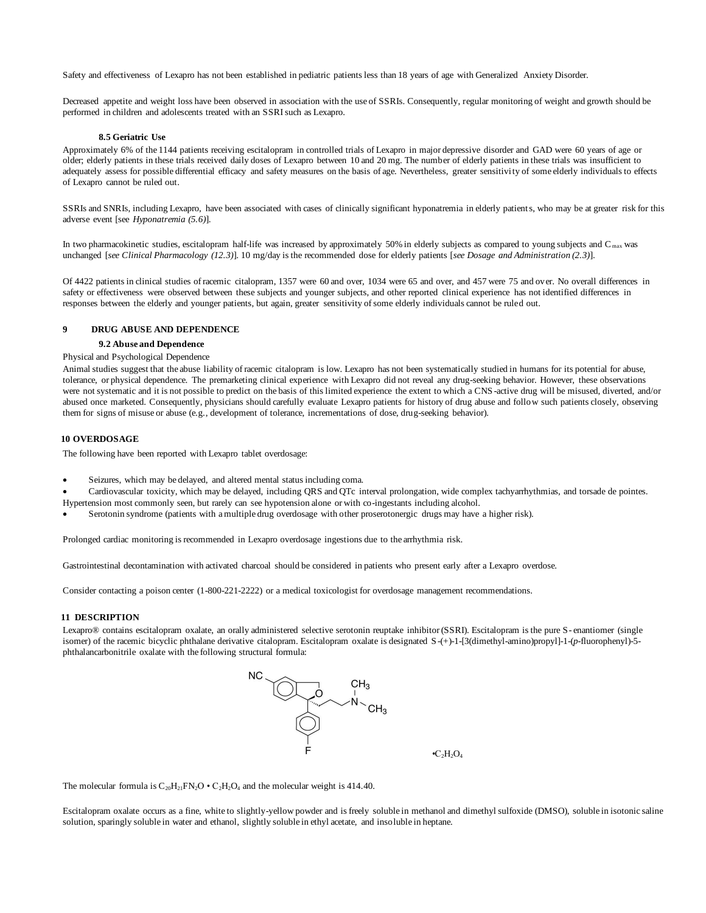Safety and effectiveness of Lexapro has not been established in pediatric patients less than 18 years of age with Generalized Anxiety Disorder.

Decreased appetite and weight loss have been observed in association with the use of SSRIs. Consequently, regular monitoring of weight and growth should be performed in children and adolescents treated with an SSRI such as Lexapro.

#### **8.5 Geriatric Use**

Approximately 6% of the 1144 patients receiving escitalopram in controlled trials of Lexapro in major depressive disorder and GAD were 60 years of age or older; elderly patients in these trials received daily doses of Lexapro between 10 and 20 mg. The number of elderly patients in these trials was insufficient to adequately assess for possible differential efficacy and safety measures on the basis of age. Nevertheless, greater sensitivity of some elderly individuals to effects of Lexapro cannot be ruled out.

SSRIs and SNRIs, including Lexapro, have been associated with cases of clinically significant hyponatremia in elderly patients, who may be at greater risk for this adverse event [see *Hyponatremia (5.6)*].

In two pharmacokinetic studies, escitalopram half-life was increased by approximately 50% in elderly subjects as compared to young subjects and  $C_{\text{max}}$  was unchanged [*see Clinical Pharmacology (12.3)*]. 10 mg/day is the recommended dose for elderly patients [*see Dosage and Administration (2.3)*].

Of 4422 patients in clinical studies of racemic citalopram, 1357 were 60 and over, 1034 were 65 and over, and 457 were 75 and over. No overall differences in safety or effectiveness were observed between these subjects and younger subjects, and other reported clinical experience has not identified differences in responses between the elderly and younger patients, but again, greater sensitivity of some elderly individuals cannot be ruled out.

### **9 DRUG ABUSE AND DEPENDENCE**

## **9.2 Abuse and Dependence**

# Physical and Psychological Dependence

Animal studies suggest that the abuse liability of racemic citalopram is low. Lexapro has not been systematically studied in humans for its potential for abuse, tolerance, or physical dependence. The premarketing clinical experience with Lexapro did not reveal any drug-seeking behavior. However, these observations were not systematic and it is not possible to predict on the basis of this limited experience the extent to which a CNS -active drug will be misused, diverted, and/or abused once marketed. Consequently, physicians should carefully evaluate Lexapro patients for history of drug abuse and follow such patients closely, observing them for signs of misuse or abuse (e.g., development of tolerance, incrementations of dose, drug-seeking behavior).

### **10 OVERDOSAGE**

The following have been reported with Lexapro tablet overdosage:

- Seizures, which may be delayed, and altered mental status including coma.
- Cardiovascular toxicity, which may be delayed, including QRS and QTc interval prolongation, wide complex tachyarrhythmias, and torsade de pointes. Hypertension most commonly seen, but rarely can see hypotension alone or with co-ingestants including alcohol.
- Serotonin syndrome (patients with a multiple drug overdosage with other proserotonergic drugs may have a higher risk).

Prolonged cardiac monitoring is recommended in Lexapro overdosage ingestions due to the arrhythmia risk.

Gastrointestinal decontamination with activated charcoal should be considered in patients who present early after a Lexapro overdose.

Consider contacting a poison center (1-800-221-2222) or a medical toxicologist for overdosage management recommendations.

### **11 DESCRIPTION**

Lexapro® contains escitalopram oxalate, an orally administered selective serotonin reuptake inhibitor (SSRI). Escitalopram is the pure S- enantiomer (single isomer) of the racemic bicyclic phthalane derivative citalopram. Escitalopram oxalate is designated S-(+)-1-[3(dimethyl-amino)propyl]-1-(*p*-fluorophenyl)-5 phthalancarbonitrile oxalate with the following structural formula:



 $\cdot C_2H_2O_4$ 

The molecular formula is  $C_{20}H_{21}FN_{2}O \cdot C_{2}H_{2}O_{4}$  and the molecular weight is 414.40.

Escitalopram oxalate occurs as a fine, white to slightly-yellow powder and is freely soluble in methanol and dimethyl sulfoxide (DMSO), soluble in isotonic saline solution, sparingly soluble in water and ethanol, slightly soluble in ethyl acetate, and insoluble in heptane.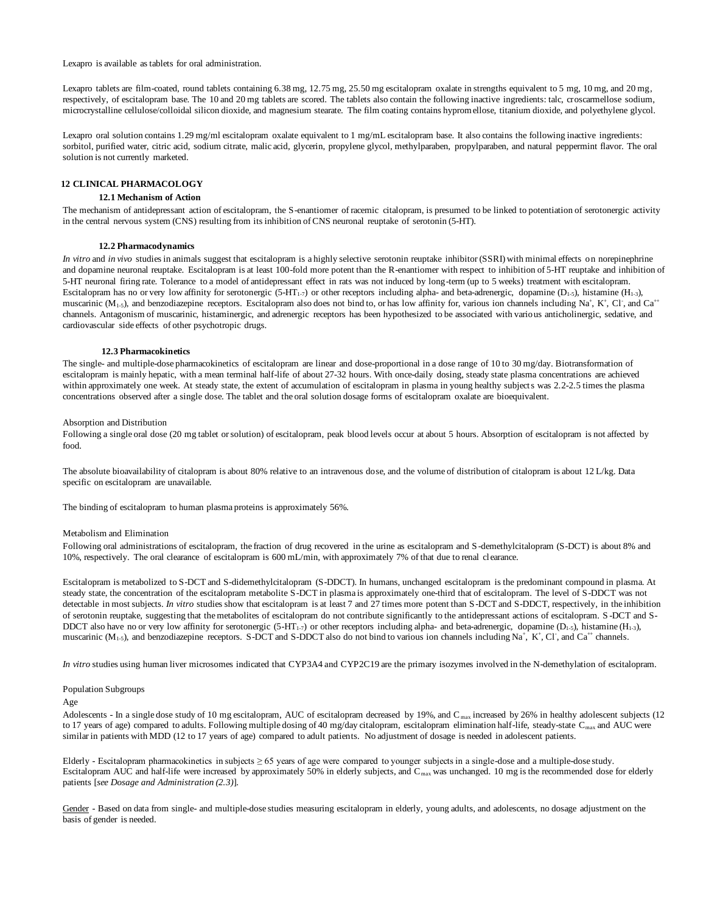Lexapro is available as tablets for oral administration.

Lexapro tablets are film-coated, round tablets containing 6.38 mg, 12.75 mg, 25.50 mg escitalopram oxalate in strengths equivalent to 5 mg, 10 mg, and 20 mg, respectively, of escitalopram base. The 10 and 20 mg tablets are scored. The tablets also contain the following inactive ingredients: talc, croscarmellose sodium, microcrystalline cellulose/colloidal silicon dioxide, and magnesium stearate. The film coating contains hypromellose, titanium dioxide, and polyethylene glycol.

Lexapro oral solution contains 1.29 mg/ml escitalopram oxalate equivalent to 1 mg/mL escitalopram base. It also contains the following inactive ingredients: sorbitol, purified water, citric acid, sodium citrate, malic acid, glycerin, propylene glycol, methylparaben, propylparaben, and natural peppermint flavor. The oral solution is not currently marketed.

# **12 CLINICAL PHARMACOLOGY**

# **12.1 Mechanism of Action**

The mechanism of antidepressant action of escitalopram, the S-enantiomer of racemic citalopram, is presumed to be linked to potentiation of serotonergic activity in the central nervous system (CNS) resulting from its inhibition of CNS neuronal reuptake of serotonin (5-HT).

#### **12.2 Pharmacodynamics**

*In vitro* and *in vivo* studies in animals suggest that escitalopram is a highly selective serotonin reuptake inhibitor (SSRI) with minimal effects on norepinephrine and dopamine neuronal reuptake. Escitalopram is at least 100-fold more potent than the R-enantiomer with respect to inhibition of 5-HT reuptake and inhibition of 5-HT neuronal firing rate. Tolerance to a model of antidepressant effect in rats was not induced by long-term (up to 5 weeks) treatment with escitalopram. Escitalopram has no or very low affinity for serotonergic (5-HT<sub>1-7</sub>) or other receptors including alpha- and beta-adrenergic, dopamine (D<sub>1-3</sub>), histamine (H<sub>1-3</sub>), muscarinic ( $M_{1.5}$ ), and benzodiazepine receptors. Escitalopram also does not bind to, or has low affinity for, various ion channels including Na<sup>+</sup>, K<sup>+</sup>, Cl<sup>-</sup>, and Ca<sup>++</sup> channels. Antagonism of muscarinic, histaminergic, and adrenergic receptors has been hypothesized to be associated with various anticholinergic, sedative, and cardiovascular side effects of other psychotropic drugs.

#### **12.3 Pharmacokinetics**

The single- and multiple-dose pharmacokinetics of escitalopram are linear and dose-proportional in a dose range of 10 to 30 mg/day. Biotransformation of escitalopram is mainly hepatic, with a mean terminal half-life of about 27-32 hours. With once-daily dosing, steady state plasma concentrations are achieved within approximately one week. At steady state, the extent of accumulation of escitalopram in plasma in young healthy subjects was 2.2-2.5 times the plasma concentrations observed after a single dose. The tablet and the oral solution dosage forms of escitalopram oxalate are bioequivalent.

#### Absorption and Distribution

Following a single oral dose (20 mg tablet or solution) of escitalopram, peak blood levels occur at about 5 hours. Absorption of escitalopram is not affected by food.

The absolute bioavailability of citalopram is about 80% relative to an intravenous dose, and the volume of distribution of citalopram is about 12 L/kg. Data specific on escitalopram are unavailable.

The binding of escitalopram to human plasma proteins is approximately 56%.

#### Metabolism and Elimination

Following oral administrations of escitalopram, the fraction of drug recovered in the urine as escitalopram and S-demethylcitalopram (S-DCT) is about 8% and  $10\%$ , respectively. The oral clearance of escitalopram is  $600 \text{ mL/min}$ , with approximately 7% of that due to renal clearance.

Escitalopram is metabolized to S-DCT and S-didemethylcitalopram (S-DDCT). In humans, unchanged escitalopram is the predominant compound in plasma. At steady state, the concentration of the escitalopram metabolite S-DCT in plasma is approximately one-third that of escitalopram. The level of S-DDCT was not detectable in most subjects. *In vitro* studies show that escitalopram is at least 7 and 27 times more potent than S-DCT and S-DDCT, respectively, in the inhibition of serotonin reuptake, suggesting that the metabolites of escitalopram do not contribute significantly to the antidepressant actions of escitalopram. S -DCT and S-DDCT also have no or very low affinity for serotonergic (5-HT<sub>1-7</sub>) or other receptors including alpha- and beta-adrenergic, dopamine (D<sub>1-3</sub>), histamine (H<sub>1-3</sub>), muscarinic  $(M_{1.5})$ , and benzodiazepine receptors. S-DCT and S-DDCT also do not bind to various ion channels including Na<sup>+</sup>, K<sup>+</sup>, Cl<sup>+</sup>, and Ca<sup>++</sup> channels.

*In vitro* studies using human liver microsomes indicated that CYP3A4 and CYP2C19 are the primary isozymes involved in the N-demethylation of escitalopram.

#### Population Subgroups

Age

Adolescents - In a single dose study of 10 mg escitalopram, AUC of escitalopram decreased by 19%, and  $C_{\text{max}}$  increased by 26% in healthy adolescent subjects (12) to 17 years of age) compared to adults. Following multiple dosing of 40 mg/day citalopram, escitalopram elimination half-life, steady-state C<sub>max</sub> and AUC were similar in patients with MDD (12 to 17 years of age) compared to adult patients. No adjustment of dosage is needed in adolescent patients.

Elderly - Escitalopram pharmacokinetics in subjects ≥ 65 years of age were compared to younger subjects in a single-dose and a multiple-dose study. Escitalopram AUC and half-life were increased by approximately 50% in elderly subjects, and C<sub>max</sub> was unchanged. 10 mg is the recommended dose for elderly patients [*see Dosage and Administration (2.3)*].

Gender - Based on data from single- and multiple-dose studies measuring escitalopram in elderly, young adults, and adolescents, no dosage adjustment on the basis of gender is needed.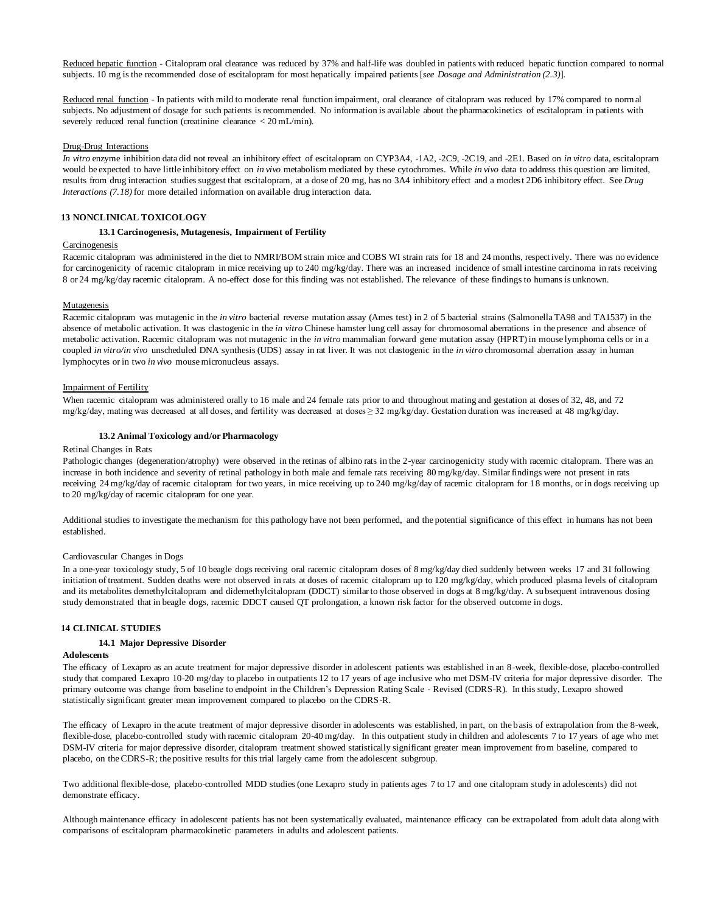Reduced hepatic function - Citalopram oral clearance was reduced by 37% and half-life was doubled in patients with reduced hepatic function compared to normal subjects. 10 mg is the recommended dose of escitalopram for most hepatically impaired patients [*see Dosage and Administration (2.3)*].

Reduced renal function - In patients with mild to moderate renal function impairment, oral clearance of citalopram was reduced by 17% compared to normal subjects. No adjustment of dosage for such patients is recommended. No information is available about the pharmacokinetics of escitalopram in patients with severely reduced renal function (creatinine clearance < 20 mL/min).

#### Drug-Drug Interactions

*In vitro* enzyme inhibition data did not reveal an inhibitory effect of escitalopram on CYP3A4, -1A2, -2C9, -2C19, and -2E1. Based on *in vitro* data, escitalopram would be expected to have little inhibitory effect on *in vivo* metabolism mediated by these cytochromes. While *in vivo* data to address this question are limited, results from drug interaction studies suggest that escitalopram, at a dose of 20 mg, has no 3A4 inhibitory effect and a modest 2D6 inhibitory effect. See *Drug Interactions (7.18)* for more detailed information on available drug interaction data.

# **13 NONCLINICAL TOXICOLOGY**

### **13.1 Carcinogenesis, Mutagenesis, Impairment of Fertility**

## Carcinogenesis

Racemic citalopram was administered in the diet to NMRI/BOM strain mice and COBS WI strain rats for 18 and 24 months, respect ively. There was no evidence for carcinogenicity of racemic citalopram in mice receiving up to 240 mg/kg/day. There was an increased incidence of small intestine carcinoma in rats receiving 8 or 24 mg/kg/day racemic citalopram. A no-effect dose for this finding was not established. The relevance of these findings to humans is unknown.

### **Mutagenesis**

Racemic citalopram was mutagenic in the *in vitro* bacterial reverse mutation assay (Ames test) in 2 of 5 bacterial strains (Salmonella TA98 and TA1537) in the absence of metabolic activation. It was clastogenic in the *in vitro* Chinese hamster lung cell assay for chromosomal aberrations in the presence and absence of metabolic activation. Racemic citalopram was not mutagenic in the *in vitro* mammalian forward gene mutation assay (HPRT) in mouse lymphoma cells or in a coupled *in vitro/in vivo* unscheduled DNA synthesis (UDS) assay in rat liver. It was not clastogenic in the *in vitro* chromosomal aberration assay in human lymphocytes or in two *in vivo* mouse micronucleus assays.

### Impairment of Fertility

When racemic citalopram was administered orally to 16 male and 24 female rats prior to and throughout mating and gestation at doses of 32, 48, and 72 mg/kg/day, mating was decreased at all doses, and fertility was decreased at doses ≥ 32 mg/kg/day. Gestation duration was increased at 48 mg/kg/day.

#### **13.2 Animal Toxicology and/or Pharmacology**

#### Retinal Changes in Rats

Pathologic changes (degeneration/atrophy) were observed in the retinas of albino rats in the 2-year carcinogenicity study with racemic citalopram. There was an increase in both incidence and severity of retinal pathology in both male and female rats receiving 80 mg/kg/day. Similar findings were not present in rats receiving 24 mg/kg/day of racemic citalopram for two years, in mice receiving up to 240 mg/kg/day of racemic citalopram for 18 months, or in dogs receiving up to 20 mg/kg/day of racemic citalopram for one year.

Additional studies to investigate the mechanism for this pathology have not been performed, and the potential significance of this effect in humans has not been established.

### Cardiovascular Changes in Dogs

In a one-year toxicology study, 5 of 10 beagle dogs receiving oral racemic citalopram doses of 8 mg/kg/day died suddenly between weeks 17 and 31 following initiation of treatment. Sudden deaths were not observed in rats at doses of racemic citalopram up to 120 mg/kg/day, which produced plasma levels of citalopram and its metabolites demethylcitalopram and didemethylcitalopram (DDCT) similar to those observed in dogs at 8 mg/kg/day. A subsequent intravenous dosing study demonstrated that in beagle dogs, racemic DDCT caused QT prolongation, a known risk factor for the observed outcome in dogs.

## **14 CLINICAL STUDIES**

#### **14.1 Major Depressive Disorder**

#### **Adolescents**

The efficacy of Lexapro as an acute treatment for major depressive disorder in adolescent patients was established in an 8-week, flexible-dose, placebo-controlled study that compared Lexapro 10-20 mg/day to placebo in outpatients 12 to 17 years of age inclusive who met DSM-IV criteria for major depressive disorder. The primary outcome was change from baseline to endpoint in the Children's Depression Rating Scale - Revised (CDRS-R). In this study, Lexapro showed statistically significant greater mean improvement compared to placebo on the CDRS-R.

The efficacy of Lexapro in the acute treatment of major depressive disorder in adolescents was established, in part, on the basis of extrapolation from the 8-week, flexible-dose, placebo-controlled study with racemic citalopram 20-40 mg/day. In this outpatient study in children and adolescents 7 to 17 years of age who met DSM-IV criteria for major depressive disorder, citalopram treatment showed statistically significant greater mean improvement from baseline, compared to placebo, on the CDRS-R; the positive results for this trial largely came from the adolescent subgroup.

Two additional flexible-dose, placebo-controlled MDD studies (one Lexapro study in patients ages 7 to 17 and one citalopram study in adolescents) did not demonstrate efficacy.

Although maintenance efficacy in adolescent patients has not been systematically evaluated, maintenance efficacy can be extrapolated from adult data along with comparisons of escitalopram pharmacokinetic parameters in adults and adolescent patients.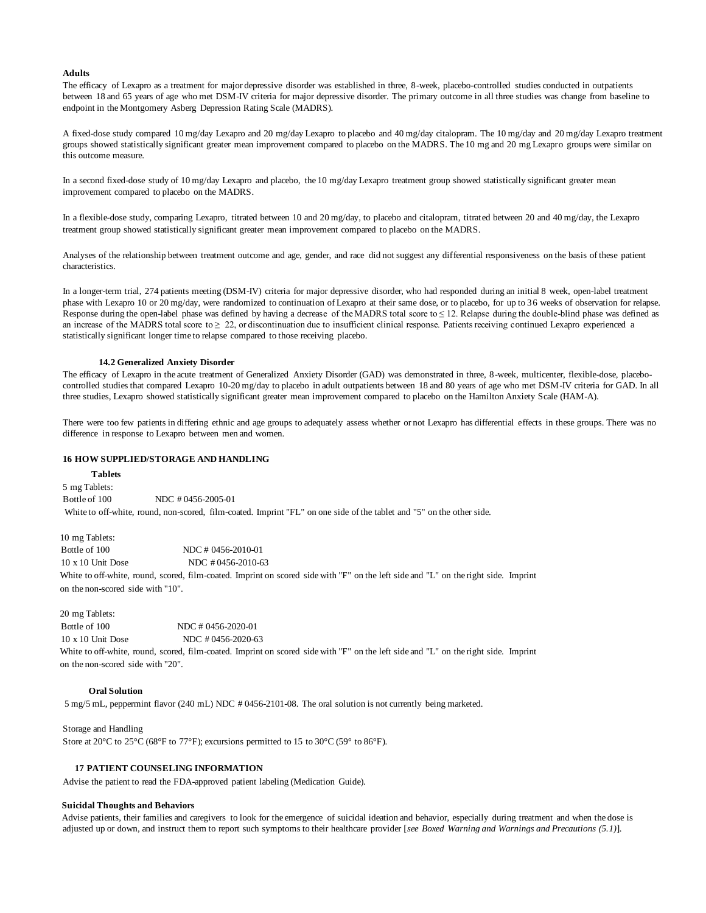#### **Adults**

The efficacy of Lexapro as a treatment for major depressive disorder was established in three, 8-week, placebo-controlled studies conducted in outpatients between 18 and 65 years of age who met DSM-IV criteria for major depressive disorder. The primary outcome in all three studies was change from baseline to endpoint in the Montgomery Asberg Depression Rating Scale (MADRS).

A fixed-dose study compared 10 mg/day Lexapro and 20 mg/day Lexapro to placebo and 40 mg/day citalopram. The 10 mg/day and 20 mg/day Lexapro treatment groups showed statistically significant greater mean improvement compared to placebo on the MADRS. The 10 mg and 20 mg Lexapro groups were similar on this outcome measure.

In a second fixed-dose study of  $10 \text{ mg/day}$  Lexapro and placebo, the  $10 \text{ mg/day}$  Lexapro treatment group showed statistically significant greater mean improvement compared to placebo on the MADRS.

In a flexible-dose study, comparing Lexapro, titrated between 10 and 20 mg/day, to placebo and citalopram, titrated between 20 and 40 mg/day, the Lexapro treatment group showed statistically significant greater mean improvement compared to placebo on the MADRS.

Analyses of the relationship between treatment outcome and age, gender, and race did not suggest any differential responsiveness on the basis of these patient characteristics.

In a longer-term trial, 274 patients meeting (DSM-IV) criteria for major depressive disorder, who had responded during an initial 8 week, open-label treatment phase with Lexapro 10 or 20 mg/day, were randomized to continuation of Lexapro at their same dose, or to placebo, for up to 36 weeks of observation for relapse. Response during the open-label phase was defined by having a decrease of the MADRS total score to  $\leq 12$ . Relapse during the double-blind phase was defined as an increase of the MADRS total score to  $\geq 22$ , or discontinuation due to insufficient clinical response. Patients receiving continued Lexapro experienced a statistically significant longer time to relapse compared to those receiving placebo.

### **14.2 Generalized Anxiety Disorder**

The efficacy of Lexapro in the acute treatment of Generalized Anxiety Disorder (GAD) was demonstrated in three, 8-week, multicenter, flexible-dose, placebocontrolled studies that compared Lexapro 10-20 mg/day to placebo in adult outpatients between 18 and 80 years of age who met DSM-IV criteria for GAD. In all three studies, Lexapro showed statistically significant greater mean improvement compared to placebo on the Hamilton Anxiety Scale (HAM-A).

There were too few patients in differing ethnic and age groups to adequately assess whether or not Lexapro has differential effects in these groups. There was no difference in response to Lexapro between men and women.

### **16 HOW SUPPLIED/STORAGE AND HANDLING**

#### **Tablets**

5 mg Tablets: Bottle of 100 NDC # 0456-2005-01 White to off-white, round, non-scored, film-coated. Imprint "FL" on one side of the tablet and "5" on the other side.

10 mg Tablets:

Bottle of 100 NDC # 0456-2010-01 10 x 10 Unit Dose NDC # 0456-2010-63 White to off-white, round, scored, film-coated. Imprint on scored side with "F" on the left side and "L" on the right side. Imprint on the non-scored side with "10".

## 20 mg Tablets:

 Bottle of 100 NDC # 0456-2020-01 10 x 10 Unit Dose NDC # 0456-2020-63

White to off-white, round, scored, film-coated. Imprint on scored side with "F" on the left side and "L" on the right side. Imprint on the non-scored side with "20".

# **Oral Solution**

5 mg/5 mL, peppermint flavor (240 mL) NDC # 0456-2101-08. The oral solution is not currently being marketed.

Storage and Handling Store at 20°C to 25°C (68°F to 77°F); excursions permitted to 15 to 30°C (59° to 86°F).

## **17 PATIENT COUNSELING INFORMATION**

Advise the patient to read the FDA-approved patient labeling (Medication Guide).

### **Suicidal Thoughts and Behaviors**

Advise patients, their families and caregivers to look for the emergence of suicidal ideation and behavior, especially during treatment and when the dose is adjusted up or down, and instruct them to report such symptoms to their healthcare provider [*see Boxed Warning and Warnings and Precautions (5.1)*].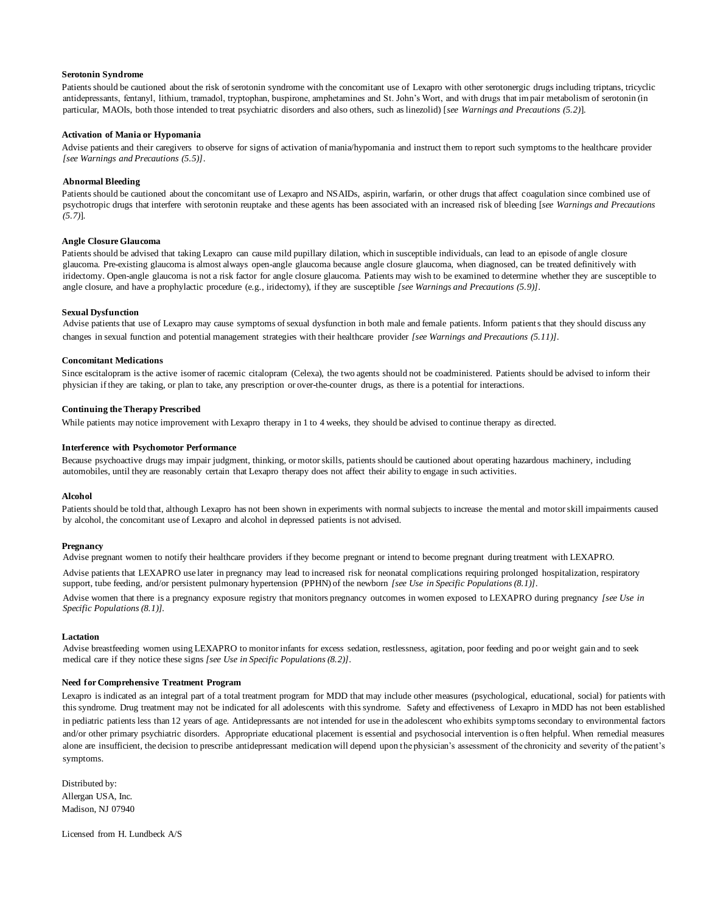#### **Serotonin Syndrome**

Patients should be cautioned about the risk of serotonin syndrome with the concomitant use of Lexapro with other serotonergic drugs including triptans, tricyclic antidepressants, fentanyl, lithium, tramadol, tryptophan, buspirone, amphetamines and St. John's Wort, and with drugs that impair metabolism of serotonin (in particular, MAOIs, both those intended to treat psychiatric disorders and also others, such as linezolid) [*see Warnings and Precautions (5.2)*].

## **Activation of Mania or Hypomania**

Advise patients and their caregivers to observe for signs of activation of mania/hypomania and instruct them to report such symptoms to the healthcare provider *[see Warnings and Precautions (5.5)]*.

### **Abnormal Bleeding**

Patients should be cautioned about the concomitant use of Lexapro and NSAIDs, aspirin, warfarin, or other drugs that affect coagulation since combined use of psychotropic drugs that interfere with serotonin reuptake and these agents has been associated with an increased risk of bleeding [*see Warnings and Precautions (5.7)*].

### **Angle Closure Glaucoma**

Patients should be advised that taking Lexapro can cause mild pupillary dilation, which in susceptible individuals, can lead to an episode of angle closure glaucoma. Pre-existing glaucoma is almost always open-angle glaucoma because angle closure glaucoma, when diagnosed, can be treated definitively with iridectomy. Open-angle glaucoma is not a risk factor for angle closure glaucoma. Patients may wish to be examined to determine whether they are susceptible to angle closure, and have a prophylactic procedure (e.g., iridectomy), if they are susceptible *[see Warnings and Precautions (5.9)]*.

#### **Sexual Dysfunction**

Advise patients that use of Lexapro may cause symptoms of sexual dysfunction in both male and female patients. Inform patients that they should discuss any changes in sexual function and potential management strategies with their healthcare provider *[see Warnings and Precautions (5.11)]*.

#### **Concomitant Medications**

Since escitalopram is the active isomer of racemic citalopram (Celexa), the two agents should not be coadministered. Patients should be advised to inform their physician if they are taking, or plan to take, any prescription or over-the-counter drugs, as there is a potential for interactions.

#### **Continuing the Therapy Prescribed**

While patients may notice improvement with Lexapro therapy in 1 to 4 weeks, they should be advised to continue therapy as directed.

#### **Interference with Psychomotor Performance**

Because psychoactive drugs may impair judgment, thinking, or motor skills, patients should be cautioned about operating hazardous machinery, including automobiles, until they are reasonably certain that Lexapro therapy does not affect their ability to engage in such activities.

#### **Alcohol**

Patients should be told that, although Lexapro has not been shown in experiments with normal subjects to increase the mental and motor skill impairments caused by alcohol, the concomitant use of Lexapro and alcohol in depressed patients is not advised.

### **Pregnancy**

Advise pregnant women to notify their healthcare providers if they become pregnant or intend to become pregnant during treatment with LEXAPRO.

Advise patients that LEXAPRO use later in pregnancy may lead to increased risk for neonatal complications requiring prolonged hospitalization, respiratory support, tube feeding, and/or persistent pulmonary hypertension (PPHN) of the newborn *[see Use in Specific Populations (8.1)]*.

Advise women that there is a pregnancy exposure registry that monitors pregnancy outcomes in women exposed to LEXAPRO during pregnancy *[see Use in Specific Populations (8.1)].*

#### **Lactation**

Advise breastfeeding women using LEXAPRO to monitor infants for excess sedation, restlessness, agitation, poor feeding and poor weight gain and to seek medical care if they notice these signs *[see Use in Specific Populations (8.2)]*.

### **Need for Comprehensive Treatment Program**

Lexapro is indicated as an integral part of a total treatment program for MDD that may include other measures (psychological, educational, social) for patients with this syndrome. Drug treatment may not be indicated for all adolescents with this syndrome. Safety and effectiveness of Lexapro in MDD has not been established in pediatric patients less than 12 years of age. Antidepressants are not intended for use in the adolescent who exhibits symptoms secondary to environmental factors and/or other primary psychiatric disorders. Appropriate educational placement is essential and psychosocial intervention is often helpful. When remedial measures alone are insufficient, the decision to prescribe antidepressant medication will depend upon the physician's assessment of the chronicity and severity of the patient's symptoms.

Distributed by: Allergan USA, Inc. Madison, NJ 07940

Licensed from H. Lundbeck A/S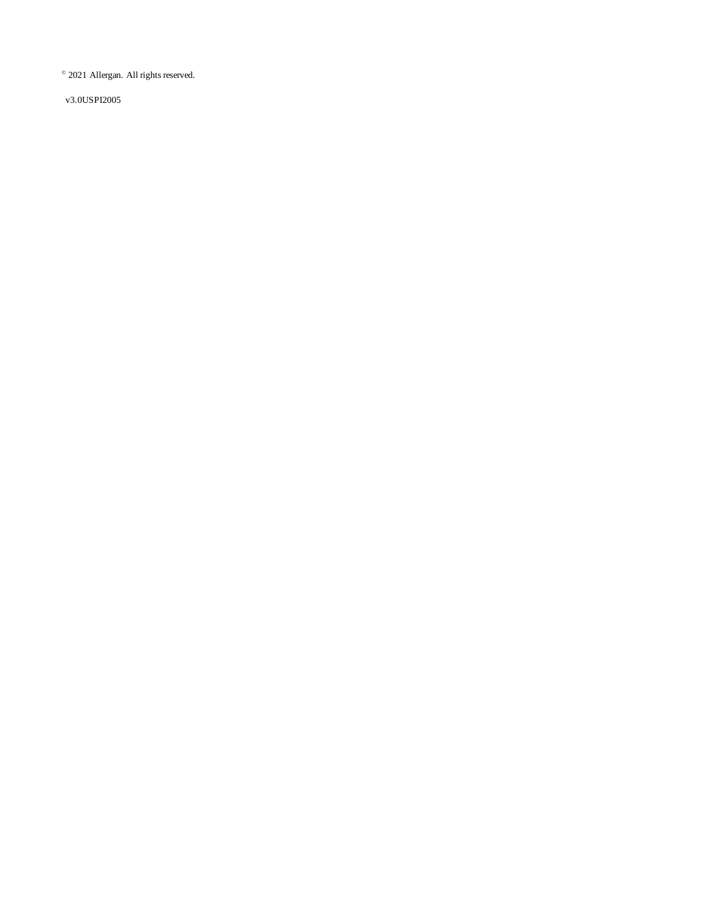© 2021 Allergan. All rights reserved.

v3.0USPI2005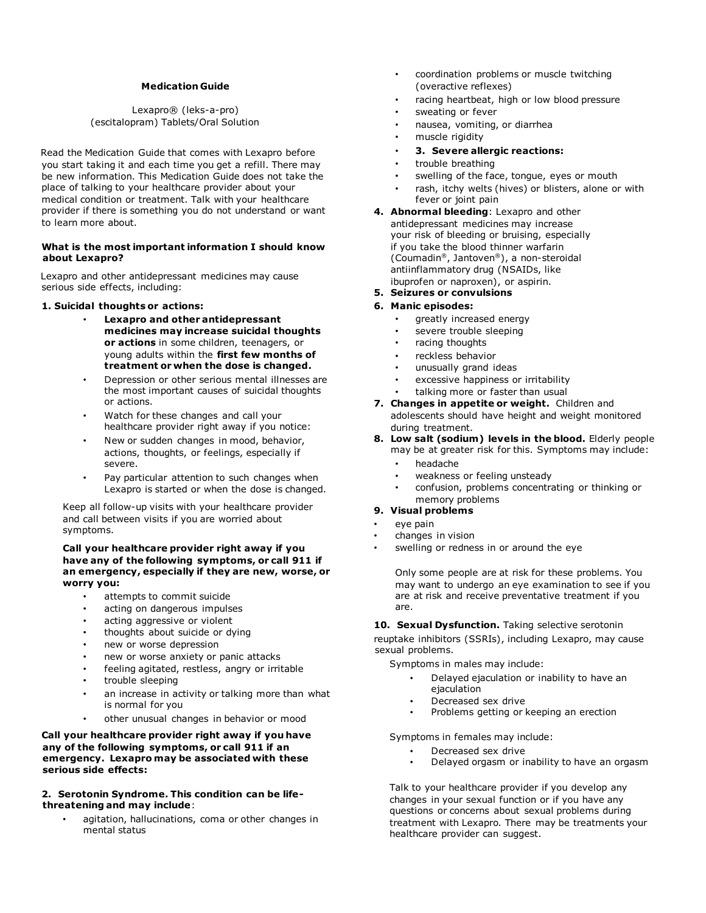# **Medication Guide**

# Lexapro® (leks-a-pro) (escitalopram) Tablets/Oral Solution

Read the Medication Guide that comes with Lexapro before you start taking it and each time you get a refill. There may be new information. This Medication Guide does not take the place of talking to your healthcare provider about your medical condition or treatment. Talk with your healthcare provider if there is something you do not understand or want to learn more about.

# **What is the most important information I should know about Lexapro?**

Lexapro and other antidepressant medicines may cause serious side effects, including:

# **1. Suicidal thoughts or actions:**

- **Lexapro and other antidepressant medicines may increase suicidal thoughts or actions** in some children, teenagers, or young adults within the **first few months of treatment or when the dose is changed.**
- Depression or other serious mental illnesses are the most important causes of suicidal thoughts or actions.
- Watch for these changes and call your healthcare provider right away if you notice:
- New or sudden changes in mood, behavior, actions, thoughts, or feelings, especially if severe.
- Pay particular attention to such changes when Lexapro is started or when the dose is changed.

Keep all follow-up visits with your healthcare provider and call between visits if you are worried about symptoms.

# **Call your healthcare provider right away if you have any of the following symptoms, or call 911 if an emergency, especially if they are new, worse, or worry you:**

- attempts to commit suicide
- acting on dangerous impulses
- acting aggressive or violent
- thoughts about suicide or dying
- new or worse depression
- new or worse anxiety or panic attacks
- feeling agitated, restless, angry or irritable
- trouble sleeping
- an increase in activity or talking more than what is normal for you
- other unusual changes in behavior or mood

# **Call your healthcare provider right away if you have any of the following symptoms, or call 911 if an emergency. Lexapro may be associated with these serious side effects:**

# **2. Serotonin Syndrome. This condition can be lifethreatening and may include**:

• agitation, hallucinations, coma or other changes in mental status

- coordination problems or muscle twitching (overactive reflexes)
- racing heartbeat, high or low blood pressure
- sweating or fever
- nausea, vomiting, or diarrhea
- muscle rigidity
- **3. Severe allergic reactions:**
- trouble breathing
- swelling of the face, tongue, eyes or mouth
- rash, itchy welts (hives) or blisters, alone or with fever or joint pain
- **4. Abnormal bleeding**: Lexapro and other antidepressant medicines may increase your risk of bleeding or bruising, especially if you take the blood thinner warfarin (Coumadin®, Jantoven®), a non-steroidal antiinflammatory drug (NSAIDs, like ibuprofen or naproxen), or aspirin.
- **5. Seizures or convulsions**

# **6. Manic episodes:**

- greatly increased energy
- severe trouble sleeping
- racing thoughts
- reckless behavior
- unusually grand ideas
- excessive happiness or irritability
- talking more or faster than usual
- **7. Changes in appetite or weight.** Children and adolescents should have height and weight monitored during treatment.
- **8. Low salt (sodium) levels in the blood.** Elderly people may be at greater risk for this. Symptoms may include:
	- headache
	- weakness or feeling unsteady
	- confusion, problems concentrating or thinking or memory problems
- **9. Visual problems**
- eye pain
- changes in vision
- swelling or redness in or around the eye

Only some people are at risk for these problems. You may want to undergo an eye examination to see if you are at risk and receive preventative treatment if you are.

10. Sexual Dysfunction. Taking selective serotonin

reuptake inhibitors (SSRIs), including Lexapro, may cause sexual problems.

Symptoms in males may include:

- Delayed ejaculation or inability to have an ejaculation
- Decreased sex drive
- Problems getting or keeping an erection

Symptoms in females may include:

- Decreased sex drive
- Delayed orgasm or inability to have an orgasm

Talk to your healthcare provider if you develop any changes in your sexual function or if you have any questions or concerns about sexual problems during treatment with Lexapro*.* There may be treatments your healthcare provider can suggest.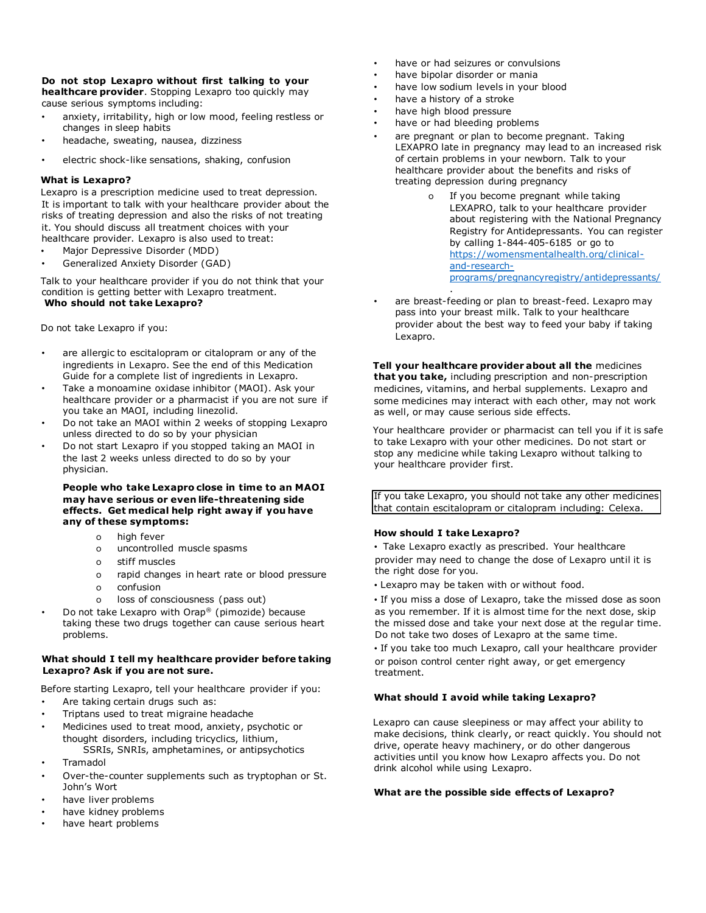# **Do not stop Lexapro without first talking to your**

**healthcare provider**. Stopping Lexapro too quickly may cause serious symptoms including:

- anxiety, irritability, high or low mood, feeling restless or changes in sleep habits
- headache, sweating, nausea, dizziness
- electric shock-like sensations, shaking, confusion

# **What is Lexapro?**

Lexapro is a prescription medicine used to treat depression. It is important to talk with your healthcare provider about the risks of treating depression and also the risks of not treating it. You should discuss all treatment choices with your healthcare provider. Lexapro is also used to treat:

- Major Depressive Disorder (MDD)
- Generalized Anxiety Disorder (GAD)

Talk to your healthcare provider if you do not think that your condition is getting better with Lexapro treatment. **Who should not take Lexapro?** 

Do not take Lexapro if you:

- are allergic to escitalopram or citalopram or any of the ingredients in Lexapro. See the end of this Medication Guide for a complete list of ingredients in Lexapro.
- Take a monoamine oxidase inhibitor (MAOI). Ask your healthcare provider or a pharmacist if you are not sure if you take an MAOI, including linezolid.
- Do not take an MAOI within 2 weeks of stopping Lexapro unless directed to do so by your physician
- Do not start Lexapro if you stopped taking an MAOI in the last 2 weeks unless directed to do so by your physician.

# **People who take Lexapro close in time to an MAOI may have serious or even life-threatening side effects. Get medical help right away if you have any of these symptoms:**

- o high fever
- o uncontrolled muscle spasms
- o stiff muscles
- o rapid changes in heart rate or blood pressure
- o confusion
- o loss of consciousness (pass out)
- Do not take Lexapro with Orap® (pimozide) because taking these two drugs together can cause serious heart problems.

# **What should I tell my healthcare provider before taking Lexapro? Ask if you are not sure.**

Before starting Lexapro, tell your healthcare provider if you:

- Are taking certain drugs such as:
- Triptans used to treat migraine headache
- Medicines used to treat mood, anxiety, psychotic or thought disorders, including tricyclics, lithium, SSRIs, SNRIs, amphetamines, or antipsychotics
- Tramadol
- Over-the-counter supplements such as tryptophan or St. John's Wort
- have liver problems
- have kidney problems
- have heart problems
- have or had seizures or convulsions
- have bipolar disorder or mania
- have low sodium levels in your blood
- have a history of a stroke
- have high blood pressure
- have or had bleeding problems

.

- are pregnant or plan to become pregnant. Taking LEXAPRO late in pregnancy may lead to an increased risk of certain problems in your newborn. Talk to your healthcare provider about the benefits and risks of treating depression during pregnancy
	- o If you become pregnant while taking LEXAPRO, talk to your healthcare provider about registering with the National Pregnancy Registry for Antidepressants. You can register by calling 1-844-405-6185 or go to [https://womensmentalhealth.org/clinical](https://womensmentalhealth.org/clinical-and-research-programs/pregnancyregistry/antidepressants/)[and-research](https://womensmentalhealth.org/clinical-and-research-programs/pregnancyregistry/antidepressants/)[programs/pregnancyregistry/antidepressants/](https://womensmentalhealth.org/clinical-and-research-programs/pregnancyregistry/antidepressants/)
- are breast-feeding or plan to breast-feed. Lexapro may pass into your breast milk. Talk to your healthcare provider about the best way to feed your baby if taking Lexapro.

**Tell your healthcare provider about all the** medicines **that you take,** including prescription and non-prescription medicines, vitamins, and herbal supplements. Lexapro and some medicines may interact with each other, may not work as well, or may cause serious side effects.

Your healthcare provider or pharmacist can tell you if it is safe to take Lexapro with your other medicines. Do not start or stop any medicine while taking Lexapro without talking to your healthcare provider first.

If you take Lexapro, you should not take any other medicines that contain escitalopram or citalopram including: Celexa.

# **How should I take Lexapro?**

• Take Lexapro exactly as prescribed. Your healthcare provider may need to change the dose of Lexapro until it is the right dose for you.

- Lexapro may be taken with or without food.
- If you miss a dose of Lexapro, take the missed dose as soon as you remember. If it is almost time for the next dose, skip the missed dose and take your next dose at the regular time. Do not take two doses of Lexapro at the same time.

• If you take too much Lexapro, call your healthcare provider or poison control center right away, or get emergency treatment.

# **What should I avoid while taking Lexapro?**

Lexapro can cause sleepiness or may affect your ability to make decisions, think clearly, or react quickly. You should not drive, operate heavy machinery, or do other dangerous activities until you know how Lexapro affects you. Do not drink alcohol while using Lexapro.

# **What are the possible side effects of Lexapro?**